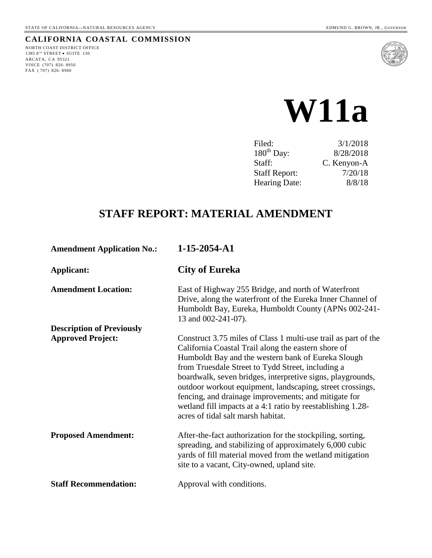## **CALIFORNIA COASTAL COMMISSION**

NORTH COAST DISTRICT OFFICE  $1385$   $8^{\mbox{\tiny{TH}}}$  STREET  $\bullet$  SUITE  $130$ ARCATA, CA 95521 VOICE (707) 826- 8950 FAX ( 707) 826- 8960



# **W11a**

| 3/1/2018    |
|-------------|
| 8/28/2018   |
| C. Kenyon-A |
| 7/20/18     |
| 8/8/18      |
|             |

## **STAFF REPORT: MATERIAL AMENDMENT**

| <b>Amendment Application No.:</b> | 1-15-2054-A1                                                                                                                                                                                                                                                                                                                                                                                                                                                                                                             |
|-----------------------------------|--------------------------------------------------------------------------------------------------------------------------------------------------------------------------------------------------------------------------------------------------------------------------------------------------------------------------------------------------------------------------------------------------------------------------------------------------------------------------------------------------------------------------|
| Applicant:                        | <b>City of Eureka</b>                                                                                                                                                                                                                                                                                                                                                                                                                                                                                                    |
| <b>Amendment Location:</b>        | East of Highway 255 Bridge, and north of Waterfront<br>Drive, along the waterfront of the Eureka Inner Channel of<br>Humboldt Bay, Eureka, Humboldt County (APNs 002-241-<br>13 and 002-241-07).                                                                                                                                                                                                                                                                                                                         |
| <b>Description of Previously</b>  |                                                                                                                                                                                                                                                                                                                                                                                                                                                                                                                          |
| <b>Approved Project:</b>          | Construct 3.75 miles of Class 1 multi-use trail as part of the<br>California Coastal Trail along the eastern shore of<br>Humboldt Bay and the western bank of Eureka Slough<br>from Truesdale Street to Tydd Street, including a<br>boardwalk, seven bridges, interpretive signs, playgrounds,<br>outdoor workout equipment, landscaping, street crossings,<br>fencing, and drainage improvements; and mitigate for<br>wetland fill impacts at a 4:1 ratio by reestablishing 1.28-<br>acres of tidal salt marsh habitat. |
| <b>Proposed Amendment:</b>        | After-the-fact authorization for the stockpiling, sorting,<br>spreading, and stabilizing of approximately 6,000 cubic<br>yards of fill material moved from the wetland mitigation<br>site to a vacant, City-owned, upland site.                                                                                                                                                                                                                                                                                          |
| <b>Staff Recommendation:</b>      | Approval with conditions.                                                                                                                                                                                                                                                                                                                                                                                                                                                                                                |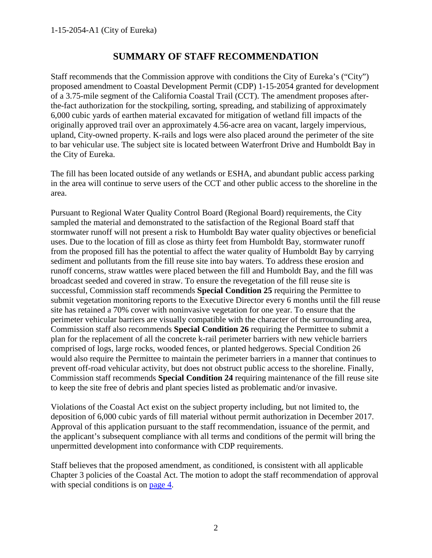## **SUMMARY OF STAFF RECOMMENDATION**

Staff recommends that the Commission approve with conditions the City of Eureka's ("City") proposed amendment to Coastal Development Permit (CDP) 1-15-2054 granted for development of a 3.75-mile segment of the California Coastal Trail (CCT). The amendment proposes afterthe-fact authorization for the stockpiling, sorting, spreading, and stabilizing of approximately 6,000 cubic yards of earthen material excavated for mitigation of wetland fill impacts of the originally approved trail over an approximately 4.56-acre area on vacant, largely impervious, upland, City-owned property. K-rails and logs were also placed around the perimeter of the site to bar vehicular use. The subject site is located between Waterfront Drive and Humboldt Bay in the City of Eureka.

The fill has been located outside of any wetlands or ESHA, and abundant public access parking in the area will continue to serve users of the CCT and other public access to the shoreline in the area.

Pursuant to Regional Water Quality Control Board (Regional Board) requirements, the City sampled the material and demonstrated to the satisfaction of the Regional Board staff that stormwater runoff will not present a risk to Humboldt Bay water quality objectives or beneficial uses. Due to the location of fill as close as thirty feet from Humboldt Bay, stormwater runoff from the proposed fill has the potential to affect the water quality of Humboldt Bay by carrying sediment and pollutants from the fill reuse site into bay waters. To address these erosion and runoff concerns, straw wattles were placed between the fill and Humboldt Bay, and the fill was broadcast seeded and covered in straw. To ensure the revegetation of the fill reuse site is successful, Commission staff recommends **Special Condition 25** requiring the Permittee to submit vegetation monitoring reports to the Executive Director every 6 months until the fill reuse site has retained a 70% cover with noninvasive vegetation for one year. To ensure that the perimeter vehicular barriers are visually compatible with the character of the surrounding area, Commission staff also recommends **Special Condition 26** requiring the Permittee to submit a plan for the replacement of all the concrete k-rail perimeter barriers with new vehicle barriers comprised of logs, large rocks, wooded fences, or planted hedgerows. Special Condition 26 would also require the Permittee to maintain the perimeter barriers in a manner that continues to prevent off-road vehicular activity, but does not obstruct public access to the shoreline. Finally, Commission staff recommends **Special Condition 24** requiring maintenance of the fill reuse site to keep the site free of debris and plant species listed as problematic and/or invasive.

Violations of the Coastal Act exist on the subject property including, but not limited to, the deposition of 6,000 cubic yards of fill material without permit authorization in December 2017. Approval of this application pursuant to the staff recommendation, issuance of the permit, and the applicant's subsequent compliance with all terms and conditions of the permit will bring the unpermitted development into conformance with CDP requirements.

Staff believes that the proposed amendment, as conditioned, is consistent with all applicable Chapter 3 policies of the Coastal Act. The motion to adopt the staff recommendation of approval with special conditions is on [page 4.](#page-3-0)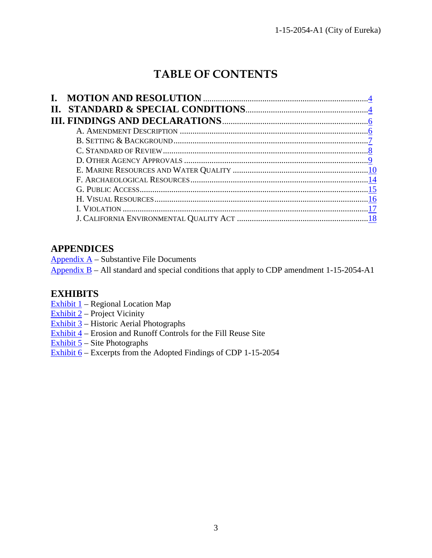# **TABLE OF CONTENTS**

## **APPENDICES**

Appendix  $A -$  Substantive File Documents

Appendix  $B$  – All standard and special conditions that apply to CDP amendment 1-15-2054-A1

## **EXHIBITS**

- Exhibit 1 Regional Location Map
- Exhibit 2 Project Vicinity
- $\overline{\text{Exhibit 3}}$  Historic Aerial Photographs
- Exhibit 4 Erosion and Runoff Controls for the Fill Reuse Site
- Exhibit 5 Site Photographs
- [Exhibit 6 Excerpts from the Adopted Findings of CDP 1-15-2054](https://documents.coastal.ca.gov/reports/2018/8/w11a/w11a-8-2018-exhibits.pdf)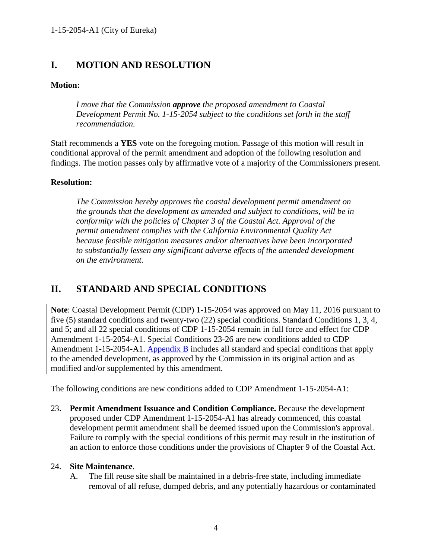## <span id="page-3-0"></span>**I. MOTION AND RESOLUTION**

#### **Motion:**

*I move that the Commission approve the proposed amendment to Coastal Development Permit No. 1-15-2054 subject to the conditions set forth in the staff recommendation.* 

Staff recommends a **YES** vote on the foregoing motion. Passage of this motion will result in conditional approval of the permit amendment and adoption of the following resolution and findings. The motion passes only by affirmative vote of a majority of the Commissioners present.

#### **Resolution:**

*The Commission hereby approves the coastal development permit amendment on the grounds that the development as amended and subject to conditions, will be in conformity with the policies of Chapter 3 of the Coastal Act. Approval of the permit amendment complies with the California Environmental Quality Act because feasible mitigation measures and/or alternatives have been incorporated to substantially lessen any significant adverse effects of the amended development on the environment.* 

## <span id="page-3-1"></span>**II. STANDARD AND SPECIAL CONDITIONS**

**Note**: Coastal Development Permit (CDP) 1-15-2054 was approved on May 11, 2016 pursuant to five (5) standard conditions and twenty-two (22) special conditions. Standard Conditions 1, 3, 4, and 5; and all 22 special conditions of CDP 1-15-2054 remain in full force and effect for CDP Amendment 1-15-2054-A1. Special Conditions 23-26 are new conditions added to CDP Amendment 1-15-2054-A1. [Appendix B](https://documents.coastal.ca.gov/reports/2018/4/w11a/w11a-4-2018-appendix.pdf) includes all standard and special conditions that apply to the amended development, as approved by the Commission in its original action and as modified and/or supplemented by this amendment.

The following conditions are new conditions added to CDP Amendment 1-15-2054-A1:

23. **Permit Amendment Issuance and Condition Compliance.** Because the development proposed under CDP Amendment 1-15-2054-A1 has already commenced, this coastal development permit amendment shall be deemed issued upon the Commission's approval. Failure to comply with the special conditions of this permit may result in the institution of an action to enforce those conditions under the provisions of Chapter 9 of the Coastal Act.

#### 24. **Site Maintenance**.

A. The fill reuse site shall be maintained in a debris-free state, including immediate removal of all refuse, dumped debris, and any potentially hazardous or contaminated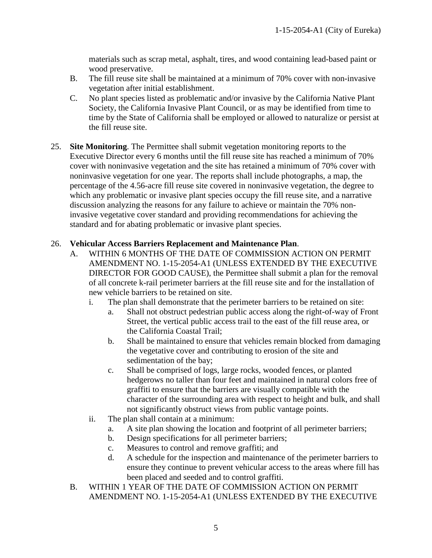materials such as scrap metal, asphalt, tires, and wood containing lead-based paint or wood preservative.

- B. The fill reuse site shall be maintained at a minimum of 70% cover with non-invasive vegetation after initial establishment.
- C. No plant species listed as problematic and/or invasive by the California Native Plant Society, the California Invasive Plant Council, or as may be identified from time to time by the State of California shall be employed or allowed to naturalize or persist at the fill reuse site.
- 25. **Site Monitoring**. The Permittee shall submit vegetation monitoring reports to the Executive Director every 6 months until the fill reuse site has reached a minimum of 70% cover with noninvasive vegetation and the site has retained a minimum of 70% cover with noninvasive vegetation for one year. The reports shall include photographs, a map, the percentage of the 4.56-acre fill reuse site covered in noninvasive vegetation, the degree to which any problematic or invasive plant species occupy the fill reuse site, and a narrative discussion analyzing the reasons for any failure to achieve or maintain the 70% noninvasive vegetative cover standard and providing recommendations for achieving the standard and for abating problematic or invasive plant species.

## 26. **Vehicular Access Barriers Replacement and Maintenance Plan**.

- A. WITHIN 6 MONTHS OF THE DATE OF COMMISSION ACTION ON PERMIT AMENDMENT NO. 1-15-2054-A1 (UNLESS EXTENDED BY THE EXECUTIVE DIRECTOR FOR GOOD CAUSE), the Permittee shall submit a plan for the removal of all concrete k-rail perimeter barriers at the fill reuse site and for the installation of new vehicle barriers to be retained on site.
	- i. The plan shall demonstrate that the perimeter barriers to be retained on site:
		- a. Shall not obstruct pedestrian public access along the right-of-way of Front Street, the vertical public access trail to the east of the fill reuse area, or the California Coastal Trail;
		- b. Shall be maintained to ensure that vehicles remain blocked from damaging the vegetative cover and contributing to erosion of the site and sedimentation of the bay;
		- c. Shall be comprised of logs, large rocks, wooded fences, or planted hedgerows no taller than four feet and maintained in natural colors free of graffiti to ensure that the barriers are visually compatible with the character of the surrounding area with respect to height and bulk, and shall not significantly obstruct views from public vantage points.
	- ii. The plan shall contain at a minimum:
		- a. A site plan showing the location and footprint of all perimeter barriers;
		- b. Design specifications for all perimeter barriers;
		- c. Measures to control and remove graffiti; and
		- d. A schedule for the inspection and maintenance of the perimeter barriers to ensure they continue to prevent vehicular access to the areas where fill has been placed and seeded and to control graffiti.
- B. WITHIN 1 YEAR OF THE DATE OF COMMISSION ACTION ON PERMIT AMENDMENT NO. 1-15-2054-A1 (UNLESS EXTENDED BY THE EXECUTIVE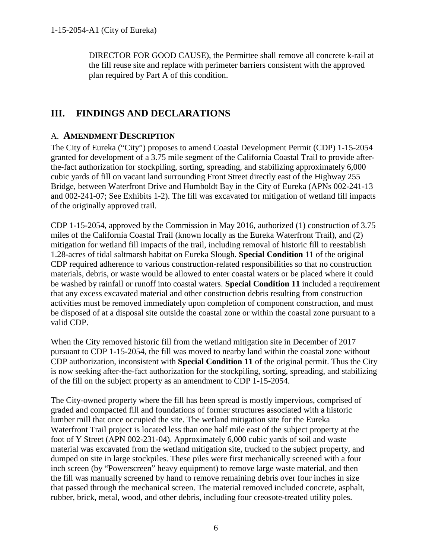DIRECTOR FOR GOOD CAUSE), the Permittee shall remove all concrete k-rail at the fill reuse site and replace with perimeter barriers consistent with the approved plan required by Part A of this condition.

## <span id="page-5-0"></span>**III. FINDINGS AND DECLARATIONS**

## <span id="page-5-1"></span>A. **AMENDMENT DESCRIPTION**

The City of Eureka ("City") proposes to amend Coastal Development Permit (CDP) 1-15-2054 granted for development of a 3.75 mile segment of the California Coastal Trail to provide afterthe-fact authorization for stockpiling, sorting, spreading, and stabilizing approximately 6,000 cubic yards of fill on vacant land surrounding Front Street directly east of the Highway 255 Bridge, between Waterfront Drive and Humboldt Bay in the City of Eureka (APNs 002-241-13 and 002-241-07; See Exhibits 1-2). The fill was excavated for mitigation of wetland fill impacts of the originally approved trail.

CDP 1-15-2054, approved by the Commission in May 2016, authorized (1) construction of 3.75 miles of the California Coastal Trail (known locally as the Eureka Waterfront Trail), and (2) mitigation for wetland fill impacts of the trail, including removal of historic fill to reestablish 1.28-acres of tidal saltmarsh habitat on Eureka Slough. **Special Condition** 11 of the original CDP required adherence to various construction-related responsibilities so that no construction materials, debris, or waste would be allowed to enter coastal waters or be placed where it could be washed by rainfall or runoff into coastal waters. **Special Condition 11** included a requirement that any excess excavated material and other construction debris resulting from construction activities must be removed immediately upon completion of component construction, and must be disposed of at a disposal site outside the coastal zone or within the coastal zone pursuant to a valid CDP.

When the City removed historic fill from the wetland mitigation site in December of 2017 pursuant to CDP 1-15-2054, the fill was moved to nearby land within the coastal zone without CDP authorization, inconsistent with **Special Condition 11** of the original permit. Thus the City is now seeking after-the-fact authorization for the stockpiling, sorting, spreading, and stabilizing of the fill on the subject property as an amendment to CDP 1-15-2054.

The City-owned property where the fill has been spread is mostly impervious, comprised of graded and compacted fill and foundations of former structures associated with a historic lumber mill that once occupied the site. The wetland mitigation site for the Eureka Waterfront Trail project is located less than one half mile east of the subject property at the foot of Y Street (APN 002-231-04). Approximately 6,000 cubic yards of soil and waste material was excavated from the wetland mitigation site, trucked to the subject property, and dumped on site in large stockpiles. These piles were first mechanically screened with a four inch screen (by "Powerscreen" heavy equipment) to remove large waste material, and then the fill was manually screened by hand to remove remaining debris over four inches in size that passed through the mechanical screen. The material removed included concrete, asphalt, rubber, brick, metal, wood, and other debris, including four creosote-treated utility poles.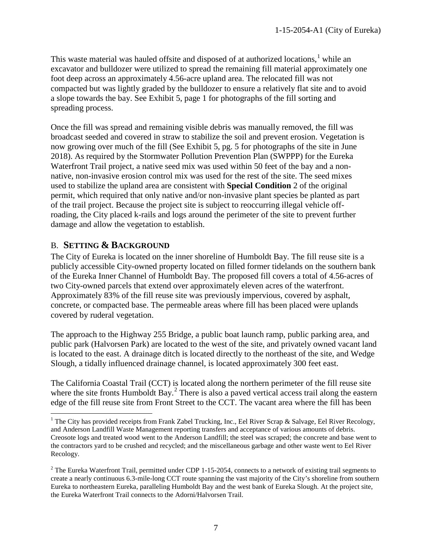This waste material was hauled offsite and disposed of at authorized locations, $<sup>1</sup>$  $<sup>1</sup>$  $<sup>1</sup>$  while an</sup> excavator and bulldozer were utilized to spread the remaining fill material approximately one foot deep across an approximately 4.56-acre upland area. The relocated fill was not compacted but was lightly graded by the bulldozer to ensure a relatively flat site and to avoid a slope towards the bay. See Exhibit 5, page 1 for photographs of the fill sorting and spreading process.

Once the fill was spread and remaining visible debris was manually removed, the fill was broadcast seeded and covered in straw to stabilize the soil and prevent erosion. Vegetation is now growing over much of the fill (See Exhibit 5, pg. 5 for photographs of the site in June 2018). As required by the Stormwater Pollution Prevention Plan (SWPPP) for the Eureka Waterfront Trail project, a native seed mix was used within 50 feet of the bay and a nonnative, non-invasive erosion control mix was used for the rest of the site. The seed mixes used to stabilize the upland area are consistent with **Special Condition** 2 of the original permit, which required that only native and/or non-invasive plant species be planted as part of the trail project. Because the project site is subject to reoccurring illegal vehicle offroading, the City placed k-rails and logs around the perimeter of the site to prevent further damage and allow the vegetation to establish.

## <span id="page-6-0"></span>B. **SETTING & BACKGROUND**

 $\overline{a}$ 

The City of Eureka is located on the inner shoreline of Humboldt Bay. The fill reuse site is a publicly accessible City-owned property located on filled former tidelands on the southern bank of the Eureka Inner Channel of Humboldt Bay. The proposed fill covers a total of 4.56-acres of two City-owned parcels that extend over approximately eleven acres of the waterfront. Approximately 83% of the fill reuse site was previously impervious, covered by asphalt, concrete, or compacted base. The permeable areas where fill has been placed were uplands covered by ruderal vegetation.

The approach to the Highway 255 Bridge, a public boat launch ramp, public parking area, and public park (Halvorsen Park) are located to the west of the site, and privately owned vacant land is located to the east. A drainage ditch is located directly to the northeast of the site, and Wedge Slough, a tidally influenced drainage channel, is located approximately 300 feet east.

The California Coastal Trail (CCT) is located along the northern perimeter of the fill reuse site where the site fronts Humboldt Bay.<sup>[2](#page-6-2)</sup> There is also a paved vertical access trail along the eastern edge of the fill reuse site from Front Street to the CCT. The vacant area where the fill has been

<span id="page-6-1"></span><sup>&</sup>lt;sup>1</sup> The City has provided receipts from Frank Zabel Trucking, Inc., Eel River Scrap & Salvage, Eel River Recology, and Anderson Landfill Waste Management reporting transfers and acceptance of various amounts of debris. Creosote logs and treated wood went to the Anderson Landfill; the steel was scraped; the concrete and base went to the contractors yard to be crushed and recycled; and the miscellaneous garbage and other waste went to Eel River Recology.

<span id="page-6-2"></span><sup>&</sup>lt;sup>2</sup> The Eureka Waterfront Trail, permitted under CDP 1-15-2054, connects to a network of existing trail segments to create a nearly continuous 6.3-mile-long CCT route spanning the vast majority of the City's shoreline from southern Eureka to northeastern Eureka, paralleling Humboldt Bay and the west bank of Eureka Slough. At the project site, the Eureka Waterfront Trail connects to the Adorni/Halvorsen Trail.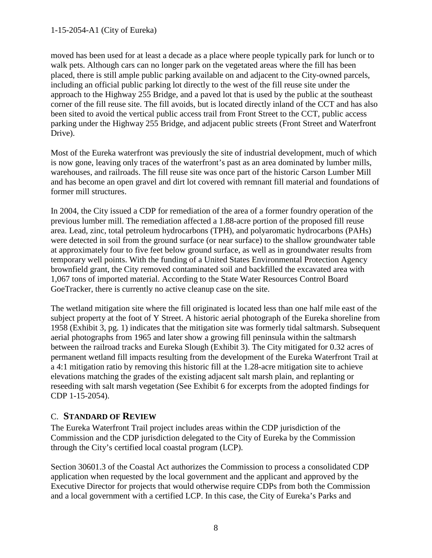moved has been used for at least a decade as a place where people typically park for lunch or to walk pets. Although cars can no longer park on the vegetated areas where the fill has been placed, there is still ample public parking available on and adjacent to the City-owned parcels, including an official public parking lot directly to the west of the fill reuse site under the approach to the Highway 255 Bridge, and a paved lot that is used by the public at the southeast corner of the fill reuse site. The fill avoids, but is located directly inland of the CCT and has also been sited to avoid the vertical public access trail from Front Street to the CCT, public access parking under the Highway 255 Bridge, and adjacent public streets (Front Street and Waterfront Drive).

Most of the Eureka waterfront was previously the site of industrial development, much of which is now gone, leaving only traces of the waterfront's past as an area dominated by lumber mills, warehouses, and railroads. The fill reuse site was once part of the historic Carson Lumber Mill and has become an open gravel and dirt lot covered with remnant fill material and foundations of former mill structures.

In 2004, the City issued a CDP for remediation of the area of a former foundry operation of the previous lumber mill. The remediation affected a 1.88-acre portion of the proposed fill reuse area. Lead, zinc, total petroleum hydrocarbons (TPH), and polyaromatic hydrocarbons (PAHs) were detected in soil from the ground surface (or near surface) to the shallow groundwater table at approximately four to five feet below ground surface, as well as in groundwater results from temporary well points. With the funding of a United States Environmental Protection Agency brownfield grant, the City removed contaminated soil and backfilled the excavated area with 1,067 tons of imported material. According to the State Water Resources Control Board GoeTracker, there is currently no active cleanup case on the site.

The wetland mitigation site where the fill originated is located less than one half mile east of the subject property at the foot of Y Street. A historic aerial photograph of the Eureka shoreline from 1958 (Exhibit 3, pg. 1) indicates that the mitigation site was formerly tidal saltmarsh. Subsequent aerial photographs from 1965 and later show a growing fill peninsula within the saltmarsh between the railroad tracks and Eureka Slough (Exhibit 3). The City mitigated for 0.32 acres of permanent wetland fill impacts resulting from the development of the Eureka Waterfront Trail at a 4:1 mitigation ratio by removing this historic fill at the 1.28-acre mitigation site to achieve elevations matching the grades of the existing adjacent salt marsh plain, and replanting or reseeding with salt marsh vegetation (See Exhibit 6 for excerpts from the adopted findings for CDP 1-15-2054).

## <span id="page-7-0"></span>C. **STANDARD OF REVIEW**

The Eureka Waterfront Trail project includes areas within the CDP jurisdiction of the Commission and the CDP jurisdiction delegated to the City of Eureka by the Commission through the City's certified local coastal program (LCP).

Section 30601.3 of the Coastal Act authorizes the Commission to process a consolidated CDP application when requested by the local government and the applicant and approved by the Executive Director for projects that would otherwise require CDPs from both the Commission and a local government with a certified LCP. In this case, the City of Eureka's Parks and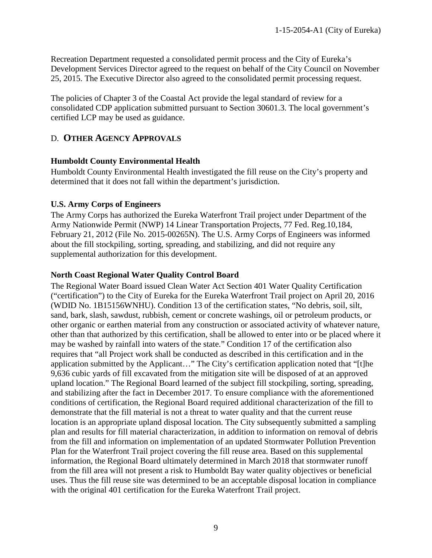Recreation Department requested a consolidated permit process and the City of Eureka's Development Services Director agreed to the request on behalf of the City Council on November 25, 2015. The Executive Director also agreed to the consolidated permit processing request.

The policies of Chapter 3 of the Coastal Act provide the legal standard of review for a consolidated CDP application submitted pursuant to Section 30601.3. The local government's certified LCP may be used as guidance.

## <span id="page-8-0"></span>D. **OTHER AGENCY APPROVALS**

#### **Humboldt County Environmental Health**

Humboldt County Environmental Health investigated the fill reuse on the City's property and determined that it does not fall within the department's jurisdiction.

#### **U.S. Army Corps of Engineers**

The Army Corps has authorized the Eureka Waterfront Trail project under Department of the Army Nationwide Permit (NWP) 14 Linear Transportation Projects, 77 Fed. Reg.10,184, February 21, 2012 (File No. 2015-00265N). The U.S. Army Corps of Engineers was informed about the fill stockpiling, sorting, spreading, and stabilizing, and did not require any supplemental authorization for this development.

#### **North Coast Regional Water Quality Control Board**

The Regional Water Board issued Clean Water Act Section 401 Water Quality Certification ("certification") to the City of Eureka for the Eureka Waterfront Trail project on April 20, 2016 (WDID No. 1B15156WNHU). Condition 13 of the certification states, "No debris, soil, silt, sand, bark, slash, sawdust, rubbish, cement or concrete washings, oil or petroleum products, or other organic or earthen material from any construction or associated activity of whatever nature, other than that authorized by this certification, shall be allowed to enter into or be placed where it may be washed by rainfall into waters of the state." Condition 17 of the certification also requires that "all Project work shall be conducted as described in this certification and in the application submitted by the Applicant…" The City's certification application noted that "[t]he 9,636 cubic yards of fill excavated from the mitigation site will be disposed of at an approved upland location." The Regional Board learned of the subject fill stockpiling, sorting, spreading, and stabilizing after the fact in December 2017. To ensure compliance with the aforementioned conditions of certification, the Regional Board required additional characterization of the fill to demonstrate that the fill material is not a threat to water quality and that the current reuse location is an appropriate upland disposal location. The City subsequently submitted a sampling plan and results for fill material characterization, in addition to information on removal of debris from the fill and information on implementation of an updated Stormwater Pollution Prevention Plan for the Waterfront Trail project covering the fill reuse area. Based on this supplemental information, the Regional Board ultimately determined in March 2018 that stormwater runoff from the fill area will not present a risk to Humboldt Bay water quality objectives or beneficial uses. Thus the fill reuse site was determined to be an acceptable disposal location in compliance with the original 401 certification for the Eureka Waterfront Trail project.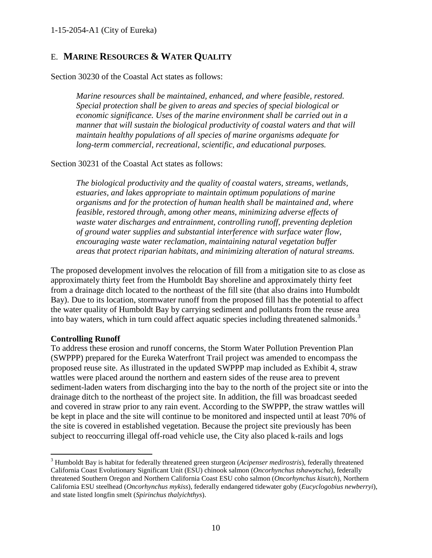## <span id="page-9-0"></span>E. **MARINE RESOURCES & WATER QUALITY**

Section 30230 of the Coastal Act states as follows:

*Marine resources shall be maintained, enhanced, and where feasible, restored. Special protection shall be given to areas and species of special biological or economic significance. Uses of the marine environment shall be carried out in a manner that will sustain the biological productivity of coastal waters and that will maintain healthy populations of all species of marine organisms adequate for long-term commercial, recreational, scientific, and educational purposes.* 

#### Section 30231 of the Coastal Act states as follows:

*The biological productivity and the quality of coastal waters, streams, wetlands, estuaries, and lakes appropriate to maintain optimum populations of marine organisms and for the protection of human health shall be maintained and, where feasible, restored through, among other means, minimizing adverse effects of waste water discharges and entrainment, controlling runoff, preventing depletion of ground water supplies and substantial interference with surface water flow, encouraging waste water reclamation, maintaining natural vegetation buffer areas that protect riparian habitats, and minimizing alteration of natural streams.* 

The proposed development involves the relocation of fill from a mitigation site to as close as approximately thirty feet from the Humboldt Bay shoreline and approximately thirty feet from a drainage ditch located to the northeast of the fill site (that also drains into Humboldt Bay). Due to its location, stormwater runoff from the proposed fill has the potential to affect the water quality of Humboldt Bay by carrying sediment and pollutants from the reuse area into bay waters, which in turn could affect aquatic species including threatened salmonids.<sup>[3](#page-9-1)</sup>

#### **Controlling Runoff**

 $\overline{a}$ 

To address these erosion and runoff concerns, the Storm Water Pollution Prevention Plan (SWPPP) prepared for the Eureka Waterfront Trail project was amended to encompass the proposed reuse site. As illustrated in the updated SWPPP map included as Exhibit 4, straw wattles were placed around the northern and eastern sides of the reuse area to prevent sediment-laden waters from discharging into the bay to the north of the project site or into the drainage ditch to the northeast of the project site. In addition, the fill was broadcast seeded and covered in straw prior to any rain event. According to the SWPPP, the straw wattles will be kept in place and the site will continue to be monitored and inspected until at least 70% of the site is covered in established vegetation. Because the project site previously has been subject to reoccurring illegal off-road vehicle use, the City also placed k-rails and logs

<span id="page-9-1"></span><sup>3</sup> Humboldt Bay is habitat for federally threatened green sturgeon (*Acipenser medirostris*), federally threatened California Coast Evolutionary Significant Unit (ESU) chinook salmon (*Oncorhynchus tshawytscha*), federally threatened Southern Oregon and Northern California Coast ESU coho salmon (*Oncorhynchus kisutch*), Northern California ESU steelhead (*Oncorhynchus mykiss*), federally endangered tidewater goby (*Eucyclogobius newberryi*), and state listed longfin smelt (*Spirinchus thalyichthys*).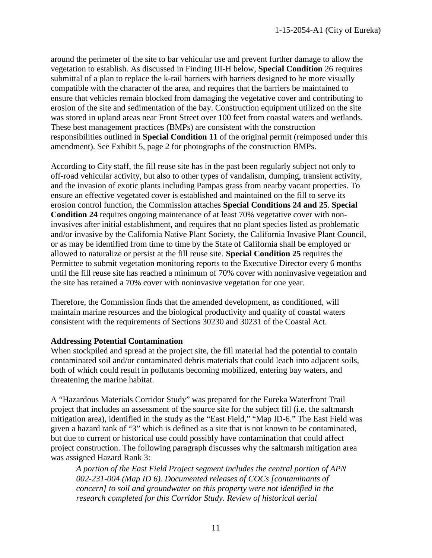around the perimeter of the site to bar vehicular use and prevent further damage to allow the vegetation to establish. As discussed in Finding III-H below, **Special Condition** 26 requires submittal of a plan to replace the k-rail barriers with barriers designed to be more visually compatible with the character of the area, and requires that the barriers be maintained to ensure that vehicles remain blocked from damaging the vegetative cover and contributing to erosion of the site and sedimentation of the bay. Construction equipment utilized on the site was stored in upland areas near Front Street over 100 feet from coastal waters and wetlands. These best management practices (BMPs) are consistent with the construction responsibilities outlined in **Special Condition 11** of the original permit (reimposed under this amendment). See Exhibit 5, page 2 for photographs of the construction BMPs.

According to City staff, the fill reuse site has in the past been regularly subject not only to off-road vehicular activity, but also to other types of vandalism, dumping, transient activity, and the invasion of exotic plants including Pampas grass from nearby vacant properties. To ensure an effective vegetated cover is established and maintained on the fill to serve its erosion control function, the Commission attaches **Special Conditions 24 and 25**. **Special Condition 24** requires ongoing maintenance of at least 70% vegetative cover with noninvasives after initial establishment, and requires that no plant species listed as problematic and/or invasive by the California Native Plant Society, the California Invasive Plant Council, or as may be identified from time to time by the State of California shall be employed or allowed to naturalize or persist at the fill reuse site. **Special Condition 25** requires the Permittee to submit vegetation monitoring reports to the Executive Director every 6 months until the fill reuse site has reached a minimum of 70% cover with noninvasive vegetation and the site has retained a 70% cover with noninvasive vegetation for one year.

Therefore, the Commission finds that the amended development, as conditioned, will maintain marine resources and the biological productivity and quality of coastal waters consistent with the requirements of Sections 30230 and 30231 of the Coastal Act.

#### **Addressing Potential Contamination**

When stockpiled and spread at the project site, the fill material had the potential to contain contaminated soil and/or contaminated debris materials that could leach into adjacent soils, both of which could result in pollutants becoming mobilized, entering bay waters, and threatening the marine habitat.

A "Hazardous Materials Corridor Study" was prepared for the Eureka Waterfront Trail project that includes an assessment of the source site for the subject fill (i.e. the saltmarsh mitigation area), identified in the study as the "East Field," "Map ID-6." The East Field was given a hazard rank of "3" which is defined as a site that is not known to be contaminated, but due to current or historical use could possibly have contamination that could affect project construction. The following paragraph discusses why the saltmarsh mitigation area was assigned Hazard Rank 3:

*A portion of the East Field Project segment includes the central portion of APN 002-231-004 (Map ID 6). Documented releases of COCs [contaminants of concern] to soil and groundwater on this property were not identified in the research completed for this Corridor Study. Review of historical aerial*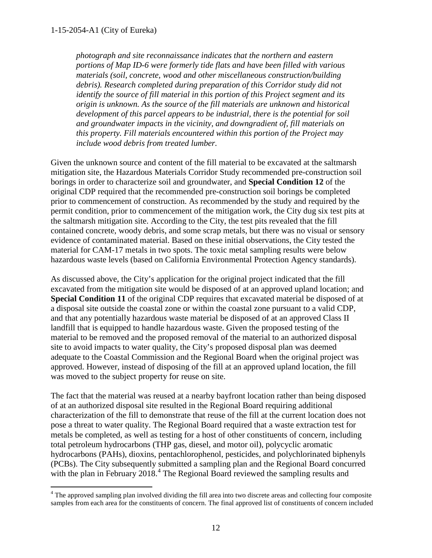*photograph and site reconnaissance indicates that the northern and eastern portions of Map ID-6 were formerly tide flats and have been filled with various materials (soil, concrete, wood and other miscellaneous construction/building debris). Research completed during preparation of this Corridor study did not identify the source of fill material in this portion of this Project segment and its origin is unknown. As the source of the fill materials are unknown and historical development of this parcel appears to be industrial, there is the potential for soil and groundwater impacts in the vicinity, and downgradient of, fill materials on this property. Fill materials encountered within this portion of the Project may include wood debris from treated lumber.* 

Given the unknown source and content of the fill material to be excavated at the saltmarsh mitigation site, the Hazardous Materials Corridor Study recommended pre-construction soil borings in order to characterize soil and groundwater, and **Special Condition 12** of the original CDP required that the recommended pre-construction soil borings be completed prior to commencement of construction. As recommended by the study and required by the permit condition, prior to commencement of the mitigation work, the City dug six test pits at the saltmarsh mitigation site. According to the City, the test pits revealed that the fill contained concrete, woody debris, and some scrap metals, but there was no visual or sensory evidence of contaminated material. Based on these initial observations, the City tested the material for CAM-17 metals in two spots. The toxic metal sampling results were below hazardous waste levels (based on California Environmental Protection Agency standards).

As discussed above, the City's application for the original project indicated that the fill excavated from the mitigation site would be disposed of at an approved upland location; and **Special Condition 11** of the original CDP requires that excavated material be disposed of at a disposal site outside the coastal zone or within the coastal zone pursuant to a valid CDP, and that any potentially hazardous waste material be disposed of at an approved Class II landfill that is equipped to handle hazardous waste. Given the proposed testing of the material to be removed and the proposed removal of the material to an authorized disposal site to avoid impacts to water quality, the City's proposed disposal plan was deemed adequate to the Coastal Commission and the Regional Board when the original project was approved. However, instead of disposing of the fill at an approved upland location, the fill was moved to the subject property for reuse on site.

The fact that the material was reused at a nearby bayfront location rather than being disposed of at an authorized disposal site resulted in the Regional Board requiring additional characterization of the fill to demonstrate that reuse of the fill at the current location does not pose a threat to water quality. The Regional Board required that a waste extraction test for metals be completed, as well as testing for a host of other constituents of concern, including total petroleum hydrocarbons (THP gas, diesel, and motor oil), polycyclic aromatic hydrocarbons (PAHs), dioxins, pentachlorophenol, pesticides, and polychlorinated biphenyls (PCBs). The City subsequently submitted a sampling plan and the Regional Board concurred with the plan in February 2018.<sup>[4](#page-11-0)</sup> The Regional Board reviewed the sampling results and

<span id="page-11-0"></span> $\overline{a}$ <sup>4</sup> The approved sampling plan involved dividing the fill area into two discrete areas and collecting four composite samples from each area for the constituents of concern. The final approved list of constituents of concern included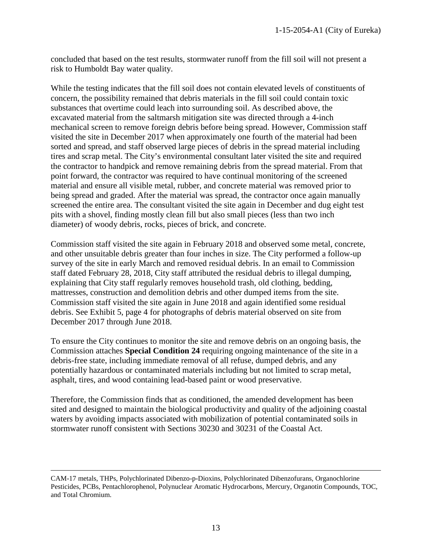concluded that based on the test results, stormwater runoff from the fill soil will not present a risk to Humboldt Bay water quality.

While the testing indicates that the fill soil does not contain elevated levels of constituents of concern, the possibility remained that debris materials in the fill soil could contain toxic substances that overtime could leach into surrounding soil. As described above, the excavated material from the saltmarsh mitigation site was directed through a 4-inch mechanical screen to remove foreign debris before being spread. However, Commission staff visited the site in December 2017 when approximately one fourth of the material had been sorted and spread, and staff observed large pieces of debris in the spread material including tires and scrap metal. The City's environmental consultant later visited the site and required the contractor to handpick and remove remaining debris from the spread material. From that point forward, the contractor was required to have continual monitoring of the screened material and ensure all visible metal, rubber, and concrete material was removed prior to being spread and graded. After the material was spread, the contractor once again manually screened the entire area. The consultant visited the site again in December and dug eight test pits with a shovel, finding mostly clean fill but also small pieces (less than two inch diameter) of woody debris, rocks, pieces of brick, and concrete.

Commission staff visited the site again in February 2018 and observed some metal, concrete, and other unsuitable debris greater than four inches in size. The City performed a follow-up survey of the site in early March and removed residual debris. In an email to Commission staff dated February 28, 2018, City staff attributed the residual debris to illegal dumping, explaining that City staff regularly removes household trash, old clothing, bedding, mattresses, construction and demolition debris and other dumped items from the site. Commission staff visited the site again in June 2018 and again identified some residual debris. See Exhibit 5, page 4 for photographs of debris material observed on site from December 2017 through June 2018.

To ensure the City continues to monitor the site and remove debris on an ongoing basis, the Commission attaches **Special Condition 24** requiring ongoing maintenance of the site in a debris-free state, including immediate removal of all refuse, dumped debris, and any potentially hazardous or contaminated materials including but not limited to scrap metal, asphalt, tires, and wood containing lead-based paint or wood preservative.

Therefore, the Commission finds that as conditioned, the amended development has been sited and designed to maintain the biological productivity and quality of the adjoining coastal waters by avoiding impacts associated with mobilization of potential contaminated soils in stormwater runoff consistent with Sections 30230 and 30231 of the Coastal Act.

 $\overline{a}$ 

CAM-17 metals, THPs, Polychlorinated Dibenzo-p-Dioxins, Polychlorinated Dibenzofurans, Organochlorine Pesticides, PCBs, Pentachlorophenol, Polynuclear Aromatic Hydrocarbons, Mercury, Organotin Compounds, TOC, and Total Chromium.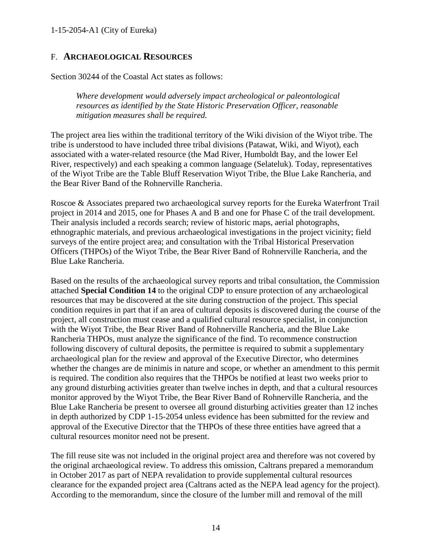## <span id="page-13-0"></span>F. **ARCHAEOLOGICAL RESOURCES**

Section 30244 of the Coastal Act states as follows:

*Where development would adversely impact archeological or paleontological resources as identified by the State Historic Preservation Officer, reasonable mitigation measures shall be required.* 

The project area lies within the traditional territory of the Wiki division of the Wiyot tribe. The tribe is understood to have included three tribal divisions (Patawat, Wiki, and Wiyot), each associated with a water-related resource (the Mad River, Humboldt Bay, and the lower Eel River, respectively) and each speaking a common language (Selateluk). Today, representatives of the Wiyot Tribe are the Table Bluff Reservation Wiyot Tribe, the Blue Lake Rancheria, and the Bear River Band of the Rohnerville Rancheria.

Roscoe & Associates prepared two archaeological survey reports for the Eureka Waterfront Trail project in 2014 and 2015, one for Phases A and B and one for Phase C of the trail development. Their analysis included a records search; review of historic maps, aerial photographs, ethnographic materials, and previous archaeological investigations in the project vicinity; field surveys of the entire project area; and consultation with the Tribal Historical Preservation Officers (THPOs) of the Wiyot Tribe, the Bear River Band of Rohnerville Rancheria, and the Blue Lake Rancheria.

Based on the results of the archaeological survey reports and tribal consultation, the Commission attached **Special Condition 14** to the original CDP to ensure protection of any archaeological resources that may be discovered at the site during construction of the project. This special condition requires in part that if an area of cultural deposits is discovered during the course of the project, all construction must cease and a qualified cultural resource specialist, in conjunction with the Wiyot Tribe, the Bear River Band of Rohnerville Rancheria, and the Blue Lake Rancheria THPOs, must analyze the significance of the find. To recommence construction following discovery of cultural deposits, the permittee is required to submit a supplementary archaeological plan for the review and approval of the Executive Director, who determines whether the changes are de minimis in nature and scope, or whether an amendment to this permit is required. The condition also requires that the THPOs be notified at least two weeks prior to any ground disturbing activities greater than twelve inches in depth, and that a cultural resources monitor approved by the Wiyot Tribe, the Bear River Band of Rohnerville Rancheria, and the Blue Lake Rancheria be present to oversee all ground disturbing activities greater than 12 inches in depth authorized by CDP 1-15-2054 unless evidence has been submitted for the review and approval of the Executive Director that the THPOs of these three entities have agreed that a cultural resources monitor need not be present.

The fill reuse site was not included in the original project area and therefore was not covered by the original archaeological review. To address this omission, Caltrans prepared a memorandum in October 2017 as part of NEPA revalidation to provide supplemental cultural resources clearance for the expanded project area (Caltrans acted as the NEPA lead agency for the project). According to the memorandum, since the closure of the lumber mill and removal of the mill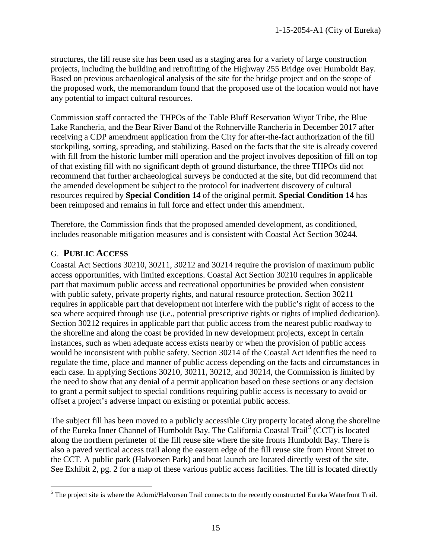structures, the fill reuse site has been used as a staging area for a variety of large construction projects, including the building and retrofitting of the Highway 255 Bridge over Humboldt Bay. Based on previous archaeological analysis of the site for the bridge project and on the scope of the proposed work, the memorandum found that the proposed use of the location would not have any potential to impact cultural resources.

Commission staff contacted the THPOs of the Table Bluff Reservation Wiyot Tribe, the Blue Lake Rancheria, and the Bear River Band of the Rohnerville Rancheria in December 2017 after receiving a CDP amendment application from the City for after-the-fact authorization of the fill stockpiling, sorting, spreading, and stabilizing. Based on the facts that the site is already covered with fill from the historic lumber mill operation and the project involves deposition of fill on top of that existing fill with no significant depth of ground disturbance, the three THPOs did not recommend that further archaeological surveys be conducted at the site, but did recommend that the amended development be subject to the protocol for inadvertent discovery of cultural resources required by **Special Condition 14** of the original permit. **Special Condition 14** has been reimposed and remains in full force and effect under this amendment.

Therefore, the Commission finds that the proposed amended development, as conditioned, includes reasonable mitigation measures and is consistent with Coastal Act Section 30244.

## <span id="page-14-0"></span>G. **PUBLIC ACCESS**

 $\overline{a}$ 

Coastal Act Sections 30210, 30211, 30212 and 30214 require the provision of maximum public access opportunities, with limited exceptions. Coastal Act Section 30210 requires in applicable part that maximum public access and recreational opportunities be provided when consistent with public safety, private property rights, and natural resource protection. Section 30211 requires in applicable part that development not interfere with the public's right of access to the sea where acquired through use (i.e., potential prescriptive rights or rights of implied dedication). Section 30212 requires in applicable part that public access from the nearest public roadway to the shoreline and along the coast be provided in new development projects, except in certain instances, such as when adequate access exists nearby or when the provision of public access would be inconsistent with public safety. Section 30214 of the Coastal Act identifies the need to regulate the time, place and manner of public access depending on the facts and circumstances in each case. In applying Sections 30210, 30211, 30212, and 30214, the Commission is limited by the need to show that any denial of a permit application based on these sections or any decision to grant a permit subject to special conditions requiring public access is necessary to avoid or offset a project's adverse impact on existing or potential public access.

The subject fill has been moved to a publicly accessible City property located along the shoreline of the Eureka Inner Channel of Humboldt Bay. The California Coastal Trail<sup>[5](#page-14-1)</sup> (CCT) is located along the northern perimeter of the fill reuse site where the site fronts Humboldt Bay. There is also a paved vertical access trail along the eastern edge of the fill reuse site from Front Street to the CCT. A public park (Halvorsen Park) and boat launch are located directly west of the site. See Exhibit 2, pg. 2 for a map of these various public access facilities. The fill is located directly

<span id="page-14-1"></span> $<sup>5</sup>$  The project site is where the Adorni/Halvorsen Trail connects to the recently constructed Eureka Waterfront Trail.</sup>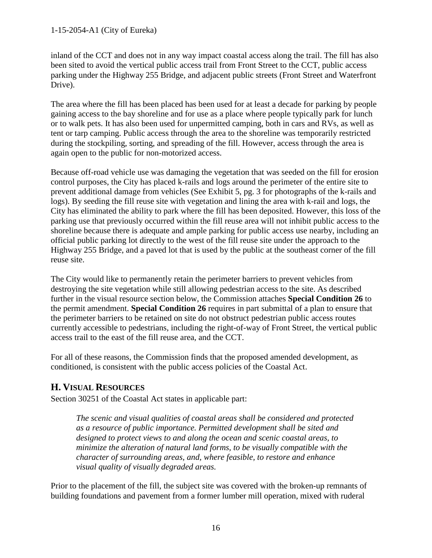inland of the CCT and does not in any way impact coastal access along the trail. The fill has also been sited to avoid the vertical public access trail from Front Street to the CCT, public access parking under the Highway 255 Bridge, and adjacent public streets (Front Street and Waterfront Drive).

The area where the fill has been placed has been used for at least a decade for parking by people gaining access to the bay shoreline and for use as a place where people typically park for lunch or to walk pets. It has also been used for unpermitted camping, both in cars and RVs, as well as tent or tarp camping. Public access through the area to the shoreline was temporarily restricted during the stockpiling, sorting, and spreading of the fill. However, access through the area is again open to the public for non-motorized access.

Because off-road vehicle use was damaging the vegetation that was seeded on the fill for erosion control purposes, the City has placed k-rails and logs around the perimeter of the entire site to prevent additional damage from vehicles (See Exhibit 5, pg. 3 for photographs of the k-rails and logs). By seeding the fill reuse site with vegetation and lining the area with k-rail and logs, the City has eliminated the ability to park where the fill has been deposited. However, this loss of the parking use that previously occurred within the fill reuse area will not inhibit public access to the shoreline because there is adequate and ample parking for public access use nearby, including an official public parking lot directly to the west of the fill reuse site under the approach to the Highway 255 Bridge, and a paved lot that is used by the public at the southeast corner of the fill reuse site.

The City would like to permanently retain the perimeter barriers to prevent vehicles from destroying the site vegetation while still allowing pedestrian access to the site. As described further in the visual resource section below, the Commission attaches **Special Condition 26** to the permit amendment. **Special Condition 26** requires in part submittal of a plan to ensure that the perimeter barriers to be retained on site do not obstruct pedestrian public access routes currently accessible to pedestrians, including the right-of-way of Front Street, the vertical public access trail to the east of the fill reuse area, and the CCT.

For all of these reasons, the Commission finds that the proposed amended development, as conditioned, is consistent with the public access policies of the Coastal Act.

## <span id="page-15-0"></span>**H. VISUAL RESOURCES**

Section 30251 of the Coastal Act states in applicable part:

*The scenic and visual qualities of coastal areas shall be considered and protected as a resource of public importance. Permitted development shall be sited and designed to protect views to and along the ocean and scenic coastal areas, to minimize the alteration of natural land forms, to be visually compatible with the character of surrounding areas, and, where feasible, to restore and enhance visual quality of visually degraded areas.* 

Prior to the placement of the fill, the subject site was covered with the broken-up remnants of building foundations and pavement from a former lumber mill operation, mixed with ruderal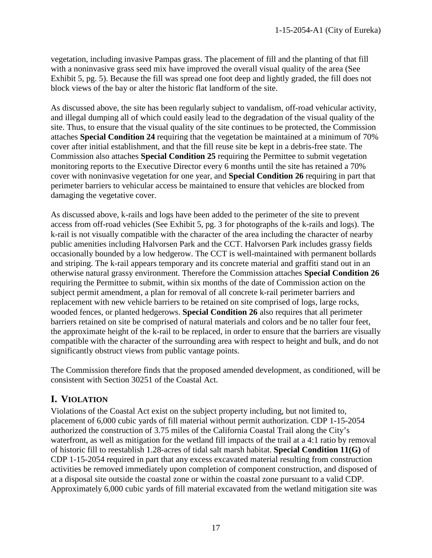vegetation, including invasive Pampas grass. The placement of fill and the planting of that fill with a noninvasive grass seed mix have improved the overall visual quality of the area (See Exhibit 5, pg. 5). Because the fill was spread one foot deep and lightly graded, the fill does not block views of the bay or alter the historic flat landform of the site.

As discussed above, the site has been regularly subject to vandalism, off-road vehicular activity, and illegal dumping all of which could easily lead to the degradation of the visual quality of the site. Thus, to ensure that the visual quality of the site continues to be protected, the Commission attaches **Special Condition 24** requiring that the vegetation be maintained at a minimum of 70% cover after initial establishment, and that the fill reuse site be kept in a debris-free state. The Commission also attaches **Special Condition 25** requiring the Permittee to submit vegetation monitoring reports to the Executive Director every 6 months until the site has retained a 70% cover with noninvasive vegetation for one year, and **Special Condition 26** requiring in part that perimeter barriers to vehicular access be maintained to ensure that vehicles are blocked from damaging the vegetative cover.

As discussed above, k-rails and logs have been added to the perimeter of the site to prevent access from off-road vehicles (See Exhibit 5, pg. 3 for photographs of the k-rails and logs). The k-rail is not visually compatible with the character of the area including the character of nearby public amenities including Halvorsen Park and the CCT. Halvorsen Park includes grassy fields occasionally bounded by a low hedgerow. The CCT is well-maintained with permanent bollards and striping. The k-rail appears temporary and its concrete material and graffiti stand out in an otherwise natural grassy environment. Therefore the Commission attaches **Special Condition 26** requiring the Permittee to submit, within six months of the date of Commission action on the subject permit amendment, a plan for removal of all concrete k-rail perimeter barriers and replacement with new vehicle barriers to be retained on site comprised of logs, large rocks, wooded fences, or planted hedgerows. **Special Condition 26** also requires that all perimeter barriers retained on site be comprised of natural materials and colors and be no taller four feet, the approximate height of the k-rail to be replaced, in order to ensure that the barriers are visually compatible with the character of the surrounding area with respect to height and bulk, and do not significantly obstruct views from public vantage points.

The Commission therefore finds that the proposed amended development, as conditioned, will be consistent with Section 30251 of the Coastal Act.

## <span id="page-16-0"></span>**I. VIOLATION**

Violations of the Coastal Act exist on the subject property including, but not limited to, placement of 6,000 cubic yards of fill material without permit authorization. CDP 1-15-2054 authorized the construction of 3.75 miles of the California Coastal Trail along the City's waterfront, as well as mitigation for the wetland fill impacts of the trail at a 4:1 ratio by removal of historic fill to reestablish 1.28-acres of tidal salt marsh habitat. **Special Condition 11(G)** of CDP 1-15-2054 required in part that any excess excavated material resulting from construction activities be removed immediately upon completion of component construction, and disposed of at a disposal site outside the coastal zone or within the coastal zone pursuant to a valid CDP. Approximately 6,000 cubic yards of fill material excavated from the wetland mitigation site was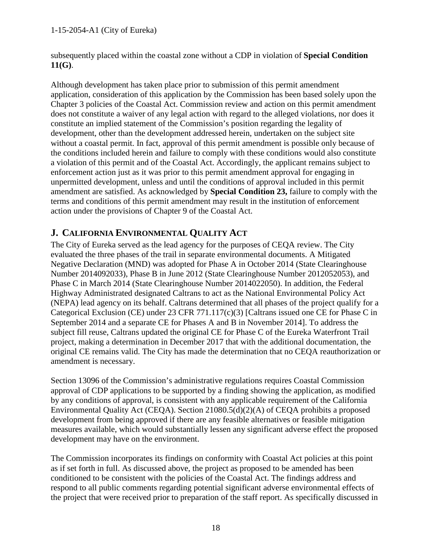#### 1-15-2054-A1 (City of Eureka)

subsequently placed within the coastal zone without a CDP in violation of **Special Condition 11(G)**.

Although development has taken place prior to submission of this permit amendment application, consideration of this application by the Commission has been based solely upon the Chapter 3 policies of the Coastal Act. Commission review and action on this permit amendment does not constitute a waiver of any legal action with regard to the alleged violations, nor does it constitute an implied statement of the Commission's position regarding the legality of development, other than the development addressed herein, undertaken on the subject site without a coastal permit. In fact, approval of this permit amendment is possible only because of the conditions included herein and failure to comply with these conditions would also constitute a violation of this permit and of the Coastal Act. Accordingly, the applicant remains subject to enforcement action just as it was prior to this permit amendment approval for engaging in unpermitted development, unless and until the conditions of approval included in this permit amendment are satisfied. As acknowledged by **Special Condition 23,** failure to comply with the terms and conditions of this permit amendment may result in the institution of enforcement action under the provisions of Chapter 9 of the Coastal Act.

## <span id="page-17-0"></span>**J. CALIFORNIA ENVIRONMENTAL QUALITY ACT**

The City of Eureka served as the lead agency for the purposes of CEQA review. The City evaluated the three phases of the trail in separate environmental documents. A Mitigated Negative Declaration (MND) was adopted for Phase A in October 2014 (State Clearinghouse Number 2014092033), Phase B in June 2012 (State Clearinghouse Number 2012052053), and Phase C in March 2014 (State Clearinghouse Number 2014022050). In addition, the Federal Highway Administrated designated Caltrans to act as the National Environmental Policy Act (NEPA) lead agency on its behalf. Caltrans determined that all phases of the project qualify for a Categorical Exclusion (CE) under 23 CFR 771.117(c)(3) [Caltrans issued one CE for Phase C in September 2014 and a separate CE for Phases A and B in November 2014]. To address the subject fill reuse, Caltrans updated the original CE for Phase C of the Eureka Waterfront Trail project, making a determination in December 2017 that with the additional documentation, the original CE remains valid. The City has made the determination that no CEQA reauthorization or amendment is necessary.

Section 13096 of the Commission's administrative regulations requires Coastal Commission approval of CDP applications to be supported by a finding showing the application, as modified by any conditions of approval, is consistent with any applicable requirement of the California Environmental Quality Act (CEQA). Section 21080.5(d)(2)(A) of CEQA prohibits a proposed development from being approved if there are any feasible alternatives or feasible mitigation measures available, which would substantially lessen any significant adverse effect the proposed development may have on the environment.

The Commission incorporates its findings on conformity with Coastal Act policies at this point as if set forth in full. As discussed above, the project as proposed to be amended has been conditioned to be consistent with the policies of the Coastal Act. The findings address and respond to all public comments regarding potential significant adverse environmental effects of the project that were received prior to preparation of the staff report. As specifically discussed in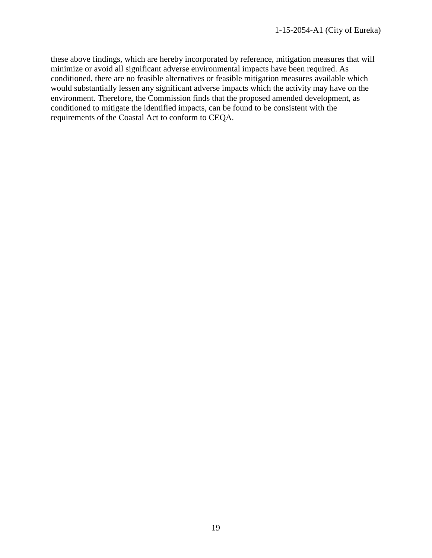these above findings, which are hereby incorporated by reference, mitigation measures that will minimize or avoid all significant adverse environmental impacts have been required. As conditioned, there are no feasible alternatives or feasible mitigation measures available which would substantially lessen any significant adverse impacts which the activity may have on the environment. Therefore, the Commission finds that the proposed amended development, as conditioned to mitigate the identified impacts, can be found to be consistent with the requirements of the Coastal Act to conform to CEQA.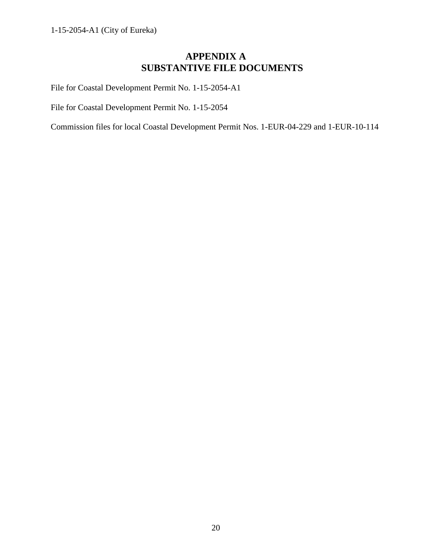## **APPENDIX A SUBSTANTIVE FILE DOCUMENTS**

<span id="page-19-0"></span>File for Coastal Development Permit No. 1-15-2054-A1

File for Coastal Development Permit No. 1-15-2054

Commission files for local Coastal Development Permit Nos. 1-EUR-04-229 and 1-EUR-10-114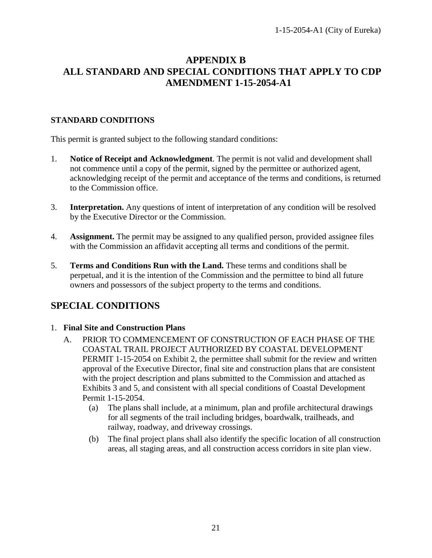## <span id="page-20-0"></span>**APPENDIX B ALL STANDARD AND SPECIAL CONDITIONS THAT APPLY TO CDP AMENDMENT 1-15-2054-A1**

## **STANDARD CONDITIONS**

This permit is granted subject to the following standard conditions:

- 1. **Notice of Receipt and Acknowledgment**. The permit is not valid and development shall not commence until a copy of the permit, signed by the permittee or authorized agent, acknowledging receipt of the permit and acceptance of the terms and conditions, is returned to the Commission office.
- 3. **Interpretation.** Any questions of intent of interpretation of any condition will be resolved by the Executive Director or the Commission.
- 4. **Assignment.** The permit may be assigned to any qualified person, provided assignee files with the Commission an affidavit accepting all terms and conditions of the permit.
- 5. **Terms and Conditions Run with the Land.** These terms and conditions shall be perpetual, and it is the intention of the Commission and the permittee to bind all future owners and possessors of the subject property to the terms and conditions.

## **SPECIAL CONDITIONS**

## 1. **Final Site and Construction Plans**

- A. PRIOR TO COMMENCEMENT OF CONSTRUCTION OF EACH PHASE OF THE COASTAL TRAIL PROJECT AUTHORIZED BY COASTAL DEVELOPMENT PERMIT 1-15-2054 on Exhibit 2, the permittee shall submit for the review and written approval of the Executive Director, final site and construction plans that are consistent with the project description and plans submitted to the Commission and attached as Exhibits 3 and 5, and consistent with all special conditions of Coastal Development Permit 1-15-2054.
	- (a) The plans shall include, at a minimum, plan and profile architectural drawings for all segments of the trail including bridges, boardwalk, trailheads, and railway, roadway, and driveway crossings.
	- (b) The final project plans shall also identify the specific location of all construction areas, all staging areas, and all construction access corridors in site plan view.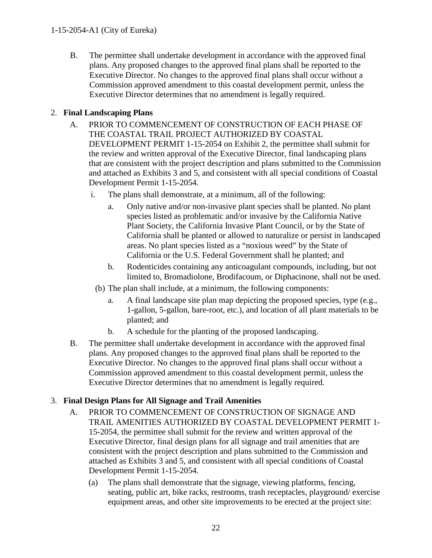B. The permittee shall undertake development in accordance with the approved final plans. Any proposed changes to the approved final plans shall be reported to the Executive Director. No changes to the approved final plans shall occur without a Commission approved amendment to this coastal development permit, unless the Executive Director determines that no amendment is legally required.

## 2. **Final Landscaping Plans**

- A. PRIOR TO COMMENCEMENT OF CONSTRUCTION OF EACH PHASE OF THE COASTAL TRAIL PROJECT AUTHORIZED BY COASTAL DEVELOPMENT PERMIT 1-15-2054 on Exhibit 2, the permittee shall submit for the review and written approval of the Executive Director, final landscaping plans that are consistent with the project description and plans submitted to the Commission and attached as Exhibits 3 and 5, and consistent with all special conditions of Coastal Development Permit 1-15-2054.
	- i. The plans shall demonstrate, at a minimum, all of the following:
		- a. Only native and/or non-invasive plant species shall be planted. No plant species listed as problematic and/or invasive by the California Native Plant Society, the California Invasive Plant Council, or by the State of California shall be planted or allowed to naturalize or persist in landscaped areas. No plant species listed as a "noxious weed" by the State of California or the U.S. Federal Government shall be planted; and
		- b. Rodenticides containing any anticoagulant compounds, including, but not limited to, Bromadiolone, Brodifacoum, or Diphacinone, shall not be used.
		- (b) The plan shall include, at a minimum, the following components:
			- a. A final landscape site plan map depicting the proposed species, type (e.g., 1-gallon, 5-gallon, bare-root, etc.), and location of all plant materials to be planted; and
			- b. A schedule for the planting of the proposed landscaping.
- B. The permittee shall undertake development in accordance with the approved final plans. Any proposed changes to the approved final plans shall be reported to the Executive Director. No changes to the approved final plans shall occur without a Commission approved amendment to this coastal development permit, unless the Executive Director determines that no amendment is legally required.

## 3. **Final Design Plans for All Signage and Trail Amenities**

- A. PRIOR TO COMMENCEMENT OF CONSTRUCTION OF SIGNAGE AND TRAIL AMENITIES AUTHORIZED BY COASTAL DEVELOPMENT PERMIT 1- 15-2054, the permittee shall submit for the review and written approval of the Executive Director, final design plans for all signage and trail amenities that are consistent with the project description and plans submitted to the Commission and attached as Exhibits 3 and 5, and consistent with all special conditions of Coastal Development Permit 1-15-2054.
	- (a) The plans shall demonstrate that the signage, viewing platforms, fencing, seating, public art, bike racks, restrooms, trash receptacles, playground/ exercise equipment areas, and other site improvements to be erected at the project site: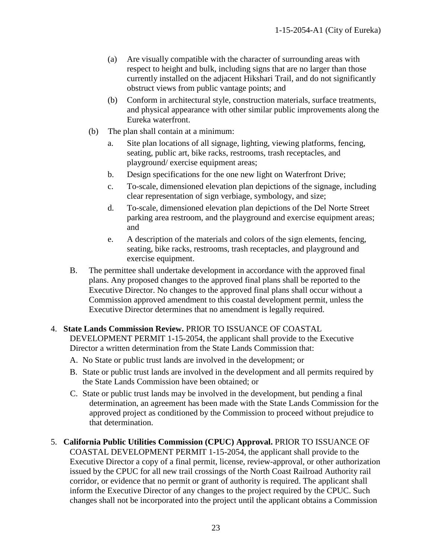- (a) Are visually compatible with the character of surrounding areas with respect to height and bulk, including signs that are no larger than those currently installed on the adjacent Hikshari Trail, and do not significantly obstruct views from public vantage points; and
- (b) Conform in architectural style, construction materials, surface treatments, and physical appearance with other similar public improvements along the Eureka waterfront.
- (b) The plan shall contain at a minimum:
	- a. Site plan locations of all signage, lighting, viewing platforms, fencing, seating, public art, bike racks, restrooms, trash receptacles, and playground/ exercise equipment areas;
	- b. Design specifications for the one new light on Waterfront Drive;
	- c. To-scale, dimensioned elevation plan depictions of the signage, including clear representation of sign verbiage, symbology, and size;
	- d. To-scale, dimensioned elevation plan depictions of the Del Norte Street parking area restroom, and the playground and exercise equipment areas; and
	- e. A description of the materials and colors of the sign elements, fencing, seating, bike racks, restrooms, trash receptacles, and playground and exercise equipment.
- B. The permittee shall undertake development in accordance with the approved final plans. Any proposed changes to the approved final plans shall be reported to the Executive Director. No changes to the approved final plans shall occur without a Commission approved amendment to this coastal development permit, unless the Executive Director determines that no amendment is legally required.

## 4. **State Lands Commission Review.** PRIOR TO ISSUANCE OF COASTAL

DEVELOPMENT PERMIT 1-15-2054, the applicant shall provide to the Executive Director a written determination from the State Lands Commission that:

- A. No State or public trust lands are involved in the development; or
- B. State or public trust lands are involved in the development and all permits required by the State Lands Commission have been obtained; or
- C. State or public trust lands may be involved in the development, but pending a final determination, an agreement has been made with the State Lands Commission for the approved project as conditioned by the Commission to proceed without prejudice to that determination.

## 5. **California Public Utilities Commission (CPUC) Approval.** PRIOR TO ISSUANCE OF

COASTAL DEVELOPMENT PERMIT 1-15-2054, the applicant shall provide to the Executive Director a copy of a final permit, license, review-approval, or other authorization issued by the CPUC for all new trail crossings of the North Coast Railroad Authority rail corridor, or evidence that no permit or grant of authority is required. The applicant shall inform the Executive Director of any changes to the project required by the CPUC. Such changes shall not be incorporated into the project until the applicant obtains a Commission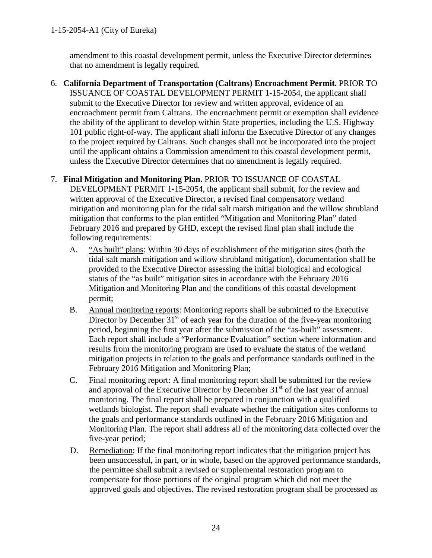amendment to this coastal development permit, unless the Executive Director determines that no amendment is legally required.

6. **California Department of Transportation (Caltrans) Encroachment Permit.** PRIOR TO ISSUANCE OF COASTAL DEVELOPMENT PERMIT 1-15-2054, the applicant shall submit to the Executive Director for review and written approval, evidence of an encroachment permit from Caltrans. The encroachment permit or exemption shall evidence the ability of the applicant to develop within State properties, including the U.S. Highway 101 public right-of-way. The applicant shall inform the Executive Director of any changes to the project required by Caltrans. Such changes shall not be incorporated into the project until the applicant obtains a Commission amendment to this coastal development permit, unless the Executive Director determines that no amendment is legally required.

## 7. **Final Mitigation and Monitoring Plan.** PRIOR TO ISSUANCE OF COASTAL

DEVELOPMENT PERMIT 1-15-2054, the applicant shall submit, for the review and written approval of the Executive Director, a revised final compensatory wetland mitigation and monitoring plan for the tidal salt marsh mitigation and the willow shrubland mitigation that conforms to the plan entitled "Mitigation and Monitoring Plan" dated February 2016 and prepared by GHD, except the revised final plan shall include the following requirements:

- A. "As built" plans: Within 30 days of establishment of the mitigation sites (both the tidal salt marsh mitigation and willow shrubland mitigation), documentation shall be provided to the Executive Director assessing the initial biological and ecological status of the "as built" mitigation sites in accordance with the February 2016 Mitigation and Monitoring Plan and the conditions of this coastal development permit;
- B. Annual monitoring reports: Monitoring reports shall be submitted to the Executive Director by December  $31<sup>st</sup>$  of each year for the duration of the five-year monitoring period, beginning the first year after the submission of the "as-built" assessment. Each report shall include a "Performance Evaluation" section where information and results from the monitoring program are used to evaluate the status of the wetland mitigation projects in relation to the goals and performance standards outlined in the February 2016 Mitigation and Monitoring Plan;
- C. Final monitoring report: A final monitoring report shall be submitted for the review and approval of the Executive Director by December  $31<sup>st</sup>$  of the last year of annual monitoring. The final report shall be prepared in conjunction with a qualified wetlands biologist. The report shall evaluate whether the mitigation sites conforms to the goals and performance standards outlined in the February 2016 Mitigation and Monitoring Plan. The report shall address all of the monitoring data collected over the five-year period;
- D. Remediation: If the final monitoring report indicates that the mitigation project has been unsuccessful, in part, or in whole, based on the approved performance standards, the permittee shall submit a revised or supplemental restoration program to compensate for those portions of the original program which did not meet the approved goals and objectives. The revised restoration program shall be processed as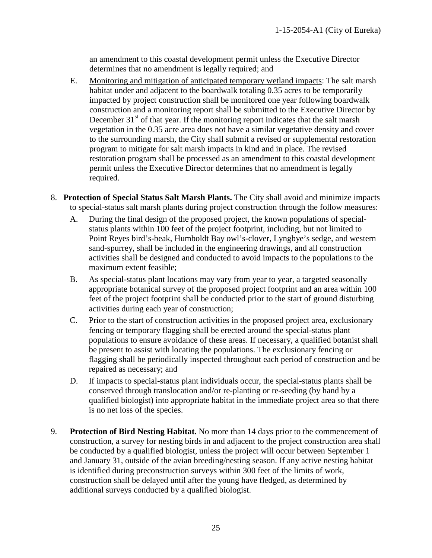an amendment to this coastal development permit unless the Executive Director determines that no amendment is legally required; and

- E. Monitoring and mitigation of anticipated temporary wetland impacts: The salt marsh habitat under and adjacent to the boardwalk totaling 0.35 acres to be temporarily impacted by project construction shall be monitored one year following boardwalk construction and a monitoring report shall be submitted to the Executive Director by December  $31<sup>st</sup>$  of that year. If the monitoring report indicates that the salt marsh vegetation in the 0.35 acre area does not have a similar vegetative density and cover to the surrounding marsh, the City shall submit a revised or supplemental restoration program to mitigate for salt marsh impacts in kind and in place. The revised restoration program shall be processed as an amendment to this coastal development permit unless the Executive Director determines that no amendment is legally required.
- 8. **Protection of Special Status Salt Marsh Plants.** The City shall avoid and minimize impacts to special-status salt marsh plants during project construction through the follow measures:
	- A. During the final design of the proposed project, the known populations of specialstatus plants within 100 feet of the project footprint, including, but not limited to Point Reyes bird's-beak, Humboldt Bay owl's-clover, Lyngbye's sedge, and western sand-spurrey, shall be included in the engineering drawings, and all construction activities shall be designed and conducted to avoid impacts to the populations to the maximum extent feasible;
	- B. As special-status plant locations may vary from year to year, a targeted seasonally appropriate botanical survey of the proposed project footprint and an area within 100 feet of the project footprint shall be conducted prior to the start of ground disturbing activities during each year of construction;
	- C. Prior to the start of construction activities in the proposed project area, exclusionary fencing or temporary flagging shall be erected around the special-status plant populations to ensure avoidance of these areas. If necessary, a qualified botanist shall be present to assist with locating the populations. The exclusionary fencing or flagging shall be periodically inspected throughout each period of construction and be repaired as necessary; and
	- D. If impacts to special-status plant individuals occur, the special-status plants shall be conserved through translocation and/or re-planting or re-seeding (by hand by a qualified biologist) into appropriate habitat in the immediate project area so that there is no net loss of the species.
- <span id="page-24-0"></span>9. **Protection of Bird Nesting Habitat.** No more than 14 days prior to the commencement of construction, a survey for nesting birds in and adjacent to the project construction area shall be conducted by a qualified biologist, unless the project will occur between September 1 and January 31, outside of the avian breeding/nesting season. If any active nesting habitat is identified during preconstruction surveys within 300 feet of the limits of work, construction shall be delayed until after the young have fledged, as determined by additional surveys conducted by a qualified biologist.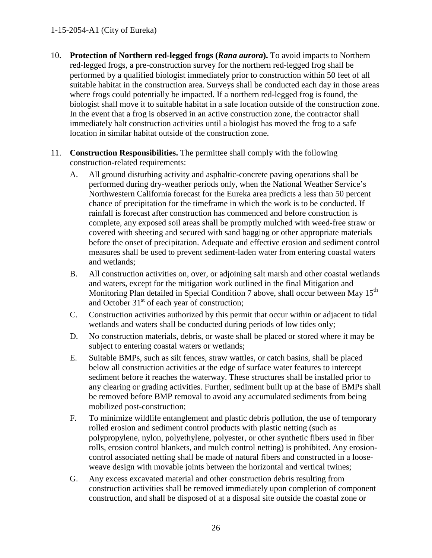#### 1-15-2054-A1 (City of Eureka)

- 10. **Protection of Northern red-legged frogs (***Rana aurora***).** To avoid impacts to Northern red-legged frogs, a pre-construction survey for the northern red-legged frog shall be performed by a qualified biologist immediately prior to construction within 50 feet of all suitable habitat in the construction area. Surveys shall be conducted each day in those areas where frogs could potentially be impacted. If a northern red-legged frog is found, the biologist shall move it to suitable habitat in a safe location outside of the construction zone. In the event that a frog is observed in an active construction zone, the contractor shall immediately halt construction activities until a biologist has moved the frog to a safe location in similar habitat outside of the construction zone.
- 11. **Construction Responsibilities.** The permittee shall comply with the following construction-related requirements:
	- A. All ground disturbing activity and asphaltic-concrete paving operations shall be performed during dry-weather periods only, when the National Weather Service's Northwestern California forecast for the Eureka area predicts a less than 50 percent chance of precipitation for the timeframe in which the work is to be conducted. If rainfall is forecast after construction has commenced and before construction is complete, any exposed soil areas shall be promptly mulched with weed-free straw or covered with sheeting and secured with sand bagging or other appropriate materials before the onset of precipitation. Adequate and effective erosion and sediment control measures shall be used to prevent sediment-laden water from entering coastal waters and wetlands;
	- B. All construction activities on, over, or adjoining salt marsh and other coastal wetlands and waters, except for the mitigation work outlined in the final Mitigation and Monitoring Plan detailed in [Special Condition 7](#page-24-0) above, shall occur between May 15<sup>th</sup> and October  $31<sup>st</sup>$  of each year of construction;
	- C. Construction activities authorized by this permit that occur within or adjacent to tidal wetlands and waters shall be conducted during periods of low tides only;
	- D. No construction materials, debris, or waste shall be placed or stored where it may be subject to entering coastal waters or wetlands;
	- E. Suitable BMPs, such as silt fences, straw wattles, or catch basins, shall be placed below all construction activities at the edge of surface water features to intercept sediment before it reaches the waterway. These structures shall be installed prior to any clearing or grading activities. Further, sediment built up at the base of BMPs shall be removed before BMP removal to avoid any accumulated sediments from being mobilized post-construction;
	- F. To minimize wildlife entanglement and plastic debris pollution, the use of temporary rolled erosion and sediment control products with plastic netting (such as polypropylene, nylon, polyethylene, polyester, or other synthetic fibers used in fiber rolls, erosion control blankets, and mulch control netting) is prohibited. Any erosioncontrol associated netting shall be made of natural fibers and constructed in a looseweave design with movable joints between the horizontal and vertical twines;
	- G. Any excess excavated material and other construction debris resulting from construction activities shall be removed immediately upon completion of component construction, and shall be disposed of at a disposal site outside the coastal zone or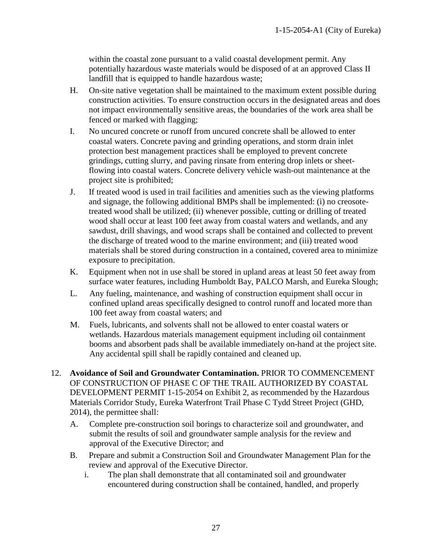within the coastal zone pursuant to a valid coastal development permit. Any potentially hazardous waste materials would be disposed of at an approved Class II landfill that is equipped to handle hazardous waste;

- H. On-site native vegetation shall be maintained to the maximum extent possible during construction activities. To ensure construction occurs in the designated areas and does not impact environmentally sensitive areas, the boundaries of the work area shall be fenced or marked with flagging;
- I. No uncured concrete or runoff from uncured concrete shall be allowed to enter coastal waters. Concrete paving and grinding operations, and storm drain inlet protection best management practices shall be employed to prevent concrete grindings, cutting slurry, and paving rinsate from entering drop inlets or sheetflowing into coastal waters. Concrete delivery vehicle wash-out maintenance at the project site is prohibited;
- J. If treated wood is used in trail facilities and amenities such as the viewing platforms and signage, the following additional BMPs shall be implemented: (i) no creosotetreated wood shall be utilized; (ii) whenever possible, cutting or drilling of treated wood shall occur at least 100 feet away from coastal waters and wetlands, and any sawdust, drill shavings, and wood scraps shall be contained and collected to prevent the discharge of treated wood to the marine environment; and (iii) treated wood materials shall be stored during construction in a contained, covered area to minimize exposure to precipitation.
- K. Equipment when not in use shall be stored in upland areas at least 50 feet away from surface water features, including Humboldt Bay, PALCO Marsh, and Eureka Slough;
- L. Any fueling, maintenance, and washing of construction equipment shall occur in confined upland areas specifically designed to control runoff and located more than 100 feet away from coastal waters; and
- M. Fuels, lubricants, and solvents shall not be allowed to enter coastal waters or wetlands. Hazardous materials management equipment including oil containment booms and absorbent pads shall be available immediately on-hand at the project site. Any accidental spill shall be rapidly contained and cleaned up.
- 12. **Avoidance of Soil and Groundwater Contamination.** PRIOR TO COMMENCEMENT OF CONSTRUCTION OF PHASE C OF THE TRAIL AUTHORIZED BY COASTAL DEVELOPMENT PERMIT 1-15-2054 on Exhibit 2, as recommended by the Hazardous Materials Corridor Study, Eureka Waterfront Trail Phase C Tydd Street Project (GHD, 2014), the permittee shall:
	- A. Complete pre-construction soil borings to characterize soil and groundwater, and submit the results of soil and groundwater sample analysis for the review and approval of the Executive Director; and
	- B. Prepare and submit a Construction Soil and Groundwater Management Plan for the review and approval of the Executive Director.
		- i. The plan shall demonstrate that all contaminated soil and groundwater encountered during construction shall be contained, handled, and properly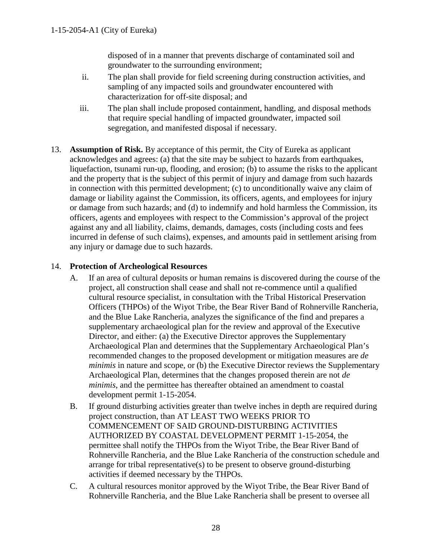disposed of in a manner that prevents discharge of contaminated soil and groundwater to the surrounding environment;

- ii. The plan shall provide for field screening during construction activities, and sampling of any impacted soils and groundwater encountered with characterization for off-site disposal; and
- iii. The plan shall include proposed containment, handling, and disposal methods that require special handling of impacted groundwater, impacted soil segregation, and manifested disposal if necessary.
- 13. **Assumption of Risk.** By acceptance of this permit, the City of Eureka as applicant acknowledges and agrees: (a) that the site may be subject to hazards from earthquakes, liquefaction, tsunami run-up, flooding, and erosion; (b) to assume the risks to the applicant and the property that is the subject of this permit of injury and damage from such hazards in connection with this permitted development; (c) to unconditionally waive any claim of damage or liability against the Commission, its officers, agents, and employees for injury or damage from such hazards; and (d) to indemnify and hold harmless the Commission, its officers, agents and employees with respect to the Commission's approval of the project against any and all liability, claims, demands, damages, costs (including costs and fees incurred in defense of such claims), expenses, and amounts paid in settlement arising from any injury or damage due to such hazards.

## 14. **Protection of Archeological Resources**

- A. If an area of cultural deposits or human remains is discovered during the course of the project, all construction shall cease and shall not re-commence until a qualified cultural resource specialist, in consultation with the Tribal Historical Preservation Officers (THPOs) of the Wiyot Tribe, the Bear River Band of Rohnerville Rancheria, and the Blue Lake Rancheria, analyzes the significance of the find and prepares a supplementary archaeological plan for the review and approval of the Executive Director, and either: (a) the Executive Director approves the Supplementary Archaeological Plan and determines that the Supplementary Archaeological Plan's recommended changes to the proposed development or mitigation measures are *de minimis* in nature and scope, or (b) the Executive Director reviews the Supplementary Archaeological Plan, determines that the changes proposed therein are not *de minimis*, and the permittee has thereafter obtained an amendment to coastal development permit 1-15-2054.
- B. If ground disturbing activities greater than twelve inches in depth are required during project construction, than AT LEAST TWO WEEKS PRIOR TO COMMENCEMENT OF SAID GROUND-DISTURBING ACTIVITIES AUTHORIZED BY COASTAL DEVELOPMENT PERMIT 1-15-2054, the permittee shall notify the THPOs from the Wiyot Tribe, the Bear River Band of Rohnerville Rancheria, and the Blue Lake Rancheria of the construction schedule and arrange for tribal representative(s) to be present to observe ground-disturbing activities if deemed necessary by the THPOs.
- C. A cultural resources monitor approved by the Wiyot Tribe, the Bear River Band of Rohnerville Rancheria, and the Blue Lake Rancheria shall be present to oversee all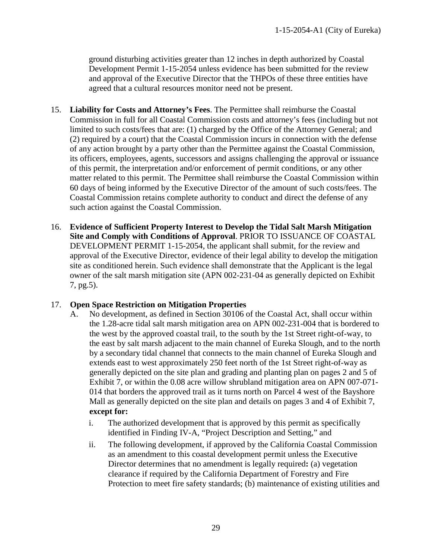ground disturbing activities greater than 12 inches in depth authorized by Coastal Development Permit 1-15-2054 unless evidence has been submitted for the review and approval of the Executive Director that the THPOs of these three entities have agreed that a cultural resources monitor need not be present.

- 15. **Liability for Costs and Attorney's Fees**. The Permittee shall reimburse the Coastal Commission in full for all Coastal Commission costs and attorney's fees (including but not limited to such costs/fees that are: (1) charged by the Office of the Attorney General; and (2) required by a court) that the Coastal Commission incurs in connection with the defense of any action brought by a party other than the Permittee against the Coastal Commission, its officers, employees, agents, successors and assigns challenging the approval or issuance of this permit, the interpretation and/or enforcement of permit conditions, or any other matter related to this permit. The Permittee shall reimburse the Coastal Commission within 60 days of being informed by the Executive Director of the amount of such costs/fees. The Coastal Commission retains complete authority to conduct and direct the defense of any such action against the Coastal Commission.
- 16. **Evidence of Sufficient Property Interest to Develop the Tidal Salt Marsh Mitigation Site and Comply with Conditions of Approval**. PRIOR TO ISSUANCE OF COASTAL DEVELOPMENT PERMIT 1-15-2054, the applicant shall submit, for the review and approval of the Executive Director, evidence of their legal ability to develop the mitigation site as conditioned herein. Such evidence shall demonstrate that the Applicant is the legal owner of the salt marsh mitigation site (APN 002-231-04 as generally depicted on Exhibit 7, pg.5).

## 17. **Open Space Restriction on Mitigation Properties**

- A. No development, as defined in Section 30106 of the Coastal Act, shall occur within the 1.28-acre tidal salt marsh mitigation area on APN 002-231-004 that is bordered to the west by the approved coastal trail, to the south by the 1st Street right-of-way, to the east by salt marsh adjacent to the main channel of Eureka Slough, and to the north by a secondary tidal channel that connects to the main channel of Eureka Slough and extends east to west approximately 250 feet north of the 1st Street right-of-way as generally depicted on the site plan and grading and planting plan on pages 2 and 5 of Exhibit 7, or within the 0.08 acre willow shrubland mitigation area on APN 007-071- 014 that borders the approved trail as it turns north on Parcel 4 west of the Bayshore Mall as generally depicted on the site plan and details on pages 3 and 4 of Exhibit 7, **except for:** 
	- i. The authorized development that is approved by this permit as specifically identified in Finding IV-A, "Project Description and Setting," and
	- ii. The following development, if approved by the California Coastal Commission as an amendment to this coastal development permit unless the Executive Director determines that no amendment is legally required**:** (a) vegetation clearance if required by the California Department of Forestry and Fire Protection to meet fire safety standards; (b) maintenance of existing utilities and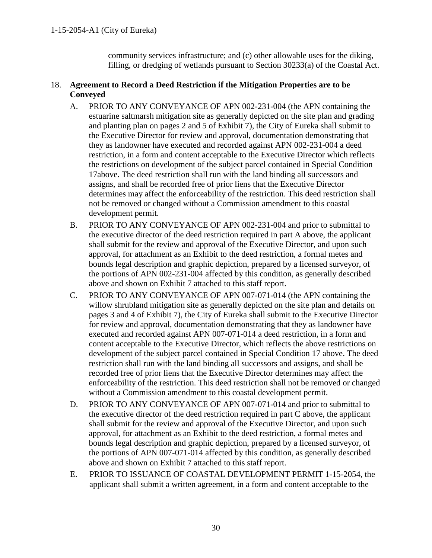community services infrastructure; and (c) other allowable uses for the diking, filling, or dredging of wetlands pursuant to Section 30233(a) of the Coastal Act.

## 18. **Agreement to Record a Deed Restriction if the Mitigation Properties are to be Conveyed**

- A. PRIOR TO ANY CONVEYANCE OF APN 002-231-004 (the APN containing the estuarine saltmarsh mitigation site as generally depicted on the site plan and grading and planting plan on pages 2 and 5 of Exhibit 7), the City of Eureka shall submit to the Executive Director for review and approval, documentation demonstrating that they as landowner have executed and recorded against APN 002-231-004 a deed restriction, in a form and content acceptable to the Executive Director which reflects the restrictions on development of the subject parcel contained in Special Condition 17above. The deed restriction shall run with the land binding all successors and assigns, and shall be recorded free of prior liens that the Executive Director determines may affect the enforceability of the restriction. This deed restriction shall not be removed or changed without a Commission amendment to this coastal development permit.
- B. PRIOR TO ANY CONVEYANCE OF APN 002-231-004 and prior to submittal to the executive director of the deed restriction required in part A above, the applicant shall submit for the review and approval of the Executive Director, and upon such approval, for attachment as an Exhibit to the deed restriction, a formal metes and bounds legal description and graphic depiction, prepared by a licensed surveyor, of the portions of APN 002-231-004 affected by this condition, as generally described above and shown on Exhibit 7 attached to this staff report.
- C. PRIOR TO ANY CONVEYANCE OF APN 007-071-014 (the APN containing the willow shrubland mitigation site as generally depicted on the site plan and details on pages 3 and 4 of Exhibit 7), the City of Eureka shall submit to the Executive Director for review and approval, documentation demonstrating that they as landowner have executed and recorded against APN 007-071-014 a deed restriction, in a form and content acceptable to the Executive Director, which reflects the above restrictions on development of the subject parcel contained in Special Condition 17 above. The deed restriction shall run with the land binding all successors and assigns, and shall be recorded free of prior liens that the Executive Director determines may affect the enforceability of the restriction. This deed restriction shall not be removed or changed without a Commission amendment to this coastal development permit.
- D. PRIOR TO ANY CONVEYANCE OF APN 007-071-014 and prior to submittal to the executive director of the deed restriction required in part C above, the applicant shall submit for the review and approval of the Executive Director, and upon such approval, for attachment as an Exhibit to the deed restriction, a formal metes and bounds legal description and graphic depiction, prepared by a licensed surveyor, of the portions of APN 007-071-014 affected by this condition, as generally described above and shown on Exhibit 7 attached to this staff report.
- E. PRIOR TO ISSUANCE OF COASTAL DEVELOPMENT PERMIT 1-15-2054, the applicant shall submit a written agreement, in a form and content acceptable to the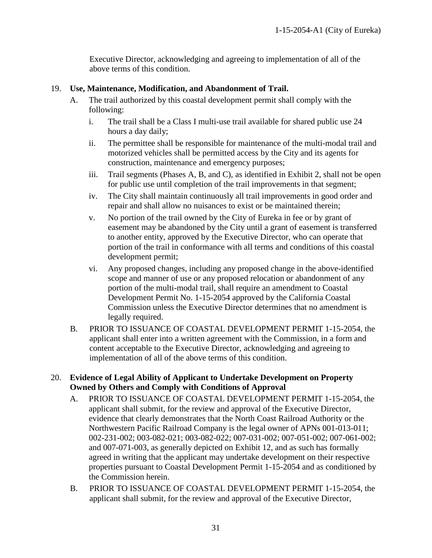Executive Director, acknowledging and agreeing to implementation of all of the above terms of this condition.

## 19. **Use, Maintenance, Modification, and Abandonment of Trail.**

- A. The trail authorized by this coastal development permit shall comply with the following:
	- i. The trail shall be a Class I multi-use trail available for shared public use 24 hours a day daily;
	- ii. The permittee shall be responsible for maintenance of the multi-modal trail and motorized vehicles shall be permitted access by the City and its agents for construction, maintenance and emergency purposes;
	- iii. Trail segments (Phases A, B, and C), as identified in Exhibit 2, shall not be open for public use until completion of the trail improvements in that segment;
	- iv. The City shall maintain continuously all trail improvements in good order and repair and shall allow no nuisances to exist or be maintained therein;
	- v. No portion of the trail owned by the City of Eureka in fee or by grant of easement may be abandoned by the City until a grant of easement is transferred to another entity, approved by the Executive Director, who can operate that portion of the trail in conformance with all terms and conditions of this coastal development permit;
	- vi. Any proposed changes, including any proposed change in the above-identified scope and manner of use or any proposed relocation or abandonment of any portion of the multi-modal trail, shall require an amendment to Coastal Development Permit No. 1-15-2054 approved by the California Coastal Commission unless the Executive Director determines that no amendment is legally required.
- B. PRIOR TO ISSUANCE OF COASTAL DEVELOPMENT PERMIT 1-15-2054, the applicant shall enter into a written agreement with the Commission, in a form and content acceptable to the Executive Director, acknowledging and agreeing to implementation of all of the above terms of this condition.

## 20. **Evidence of Legal Ability of Applicant to Undertake Development on Property Owned by Others and Comply with Conditions of Approval**

- A. PRIOR TO ISSUANCE OF COASTAL DEVELOPMENT PERMIT 1-15-2054, the applicant shall submit, for the review and approval of the Executive Director, evidence that clearly demonstrates that the North Coast Railroad Authority or the Northwestern Pacific Railroad Company is the legal owner of APNs 001-013-011; 002-231-002; 003-082-021; 003-082-022; 007-031-002; 007-051-002; 007-061-002; and 007-071-003, as generally depicted on Exhibit 12, and as such has formally agreed in writing that the applicant may undertake development on their respective properties pursuant to Coastal Development Permit 1-15-2054 and as conditioned by the Commission herein.
- B. PRIOR TO ISSUANCE OF COASTAL DEVELOPMENT PERMIT 1-15-2054, the applicant shall submit, for the review and approval of the Executive Director,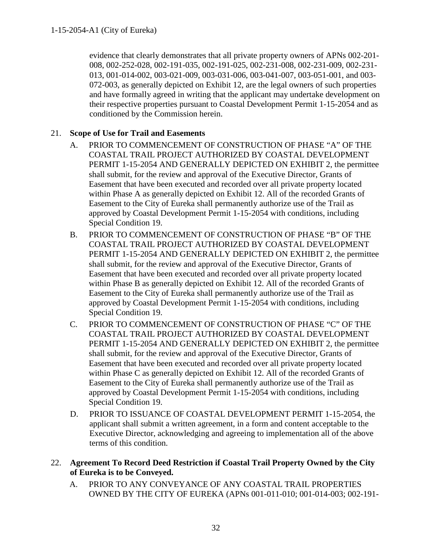evidence that clearly demonstrates that all private property owners of APNs 002-201- 008, 002-252-028, 002-191-035, 002-191-025, 002-231-008, 002-231-009, 002-231- 013, 001-014-002, 003-021-009, 003-031-006, 003-041-007, 003-051-001, and 003- 072-003, as generally depicted on Exhibit 12, are the legal owners of such properties and have formally agreed in writing that the applicant may undertake development on their respective properties pursuant to Coastal Development Permit 1-15-2054 and as conditioned by the Commission herein.

## 21. **Scope of Use for Trail and Easements**

- A. PRIOR TO COMMENCEMENT OF CONSTRUCTION OF PHASE "A" OF THE COASTAL TRAIL PROJECT AUTHORIZED BY COASTAL DEVELOPMENT PERMIT 1-15-2054 AND GENERALLY DEPICTED ON EXHIBIT 2, the permittee shall submit, for the review and approval of the Executive Director, Grants of Easement that have been executed and recorded over all private property located within Phase A as generally depicted on Exhibit 12. All of the recorded Grants of Easement to the City of Eureka shall permanently authorize use of the Trail as approved by Coastal Development Permit 1-15-2054 with conditions, including Special Condition 19.
- B. PRIOR TO COMMENCEMENT OF CONSTRUCTION OF PHASE "B" OF THE COASTAL TRAIL PROJECT AUTHORIZED BY COASTAL DEVELOPMENT PERMIT 1-15-2054 AND GENERALLY DEPICTED ON EXHIBIT 2, the permittee shall submit, for the review and approval of the Executive Director, Grants of Easement that have been executed and recorded over all private property located within Phase B as generally depicted on Exhibit 12. All of the recorded Grants of Easement to the City of Eureka shall permanently authorize use of the Trail as approved by Coastal Development Permit 1-15-2054 with conditions, including Special Condition 19.
- C. PRIOR TO COMMENCEMENT OF CONSTRUCTION OF PHASE "C" OF THE COASTAL TRAIL PROJECT AUTHORIZED BY COASTAL DEVELOPMENT PERMIT 1-15-2054 AND GENERALLY DEPICTED ON EXHIBIT 2, the permittee shall submit, for the review and approval of the Executive Director, Grants of Easement that have been executed and recorded over all private property located within Phase C as generally depicted on Exhibit 12. All of the recorded Grants of Easement to the City of Eureka shall permanently authorize use of the Trail as approved by Coastal Development Permit 1-15-2054 with conditions, including Special Condition 19.
- D.PRIOR TO ISSUANCE OF COASTAL DEVELOPMENT PERMIT 1-15-2054, the applicant shall submit a written agreement, in a form and content acceptable to the Executive Director, acknowledging and agreeing to implementation all of the above terms of this condition.
- 22. **Agreement To Record Deed Restriction if Coastal Trail Property Owned by the City of Eureka is to be Conveyed.**
	- A. PRIOR TO ANY CONVEYANCE OF ANY COASTAL TRAIL PROPERTIES OWNED BY THE CITY OF EUREKA (APNs 001-011-010; 001-014-003; 002-191-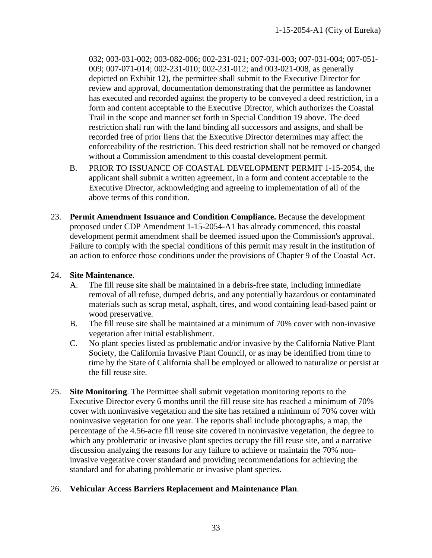032; 003-031-002; 003-082-006; 002-231-021; 007-031-003; 007-031-004; 007-051- 009; 007-071-014; 002-231-010; 002-231-012; and 003-021-008, as generally depicted on Exhibit 12), the permittee shall submit to the Executive Director for review and approval, documentation demonstrating that the permittee as landowner has executed and recorded against the property to be conveyed a deed restriction, in a form and content acceptable to the Executive Director, which authorizes the Coastal Trail in the scope and manner set forth in Special Condition 19 above. The deed restriction shall run with the land binding all successors and assigns, and shall be recorded free of prior liens that the Executive Director determines may affect the enforceability of the restriction. This deed restriction shall not be removed or changed without a Commission amendment to this coastal development permit.

- B. PRIOR TO ISSUANCE OF COASTAL DEVELOPMENT PERMIT 1-15-2054, the applicant shall submit a written agreement, in a form and content acceptable to the Executive Director, acknowledging and agreeing to implementation of all of the above terms of this condition.
- 23. **Permit Amendment Issuance and Condition Compliance.** Because the development proposed under CDP Amendment 1-15-2054-A1 has already commenced, this coastal development permit amendment shall be deemed issued upon the Commission's approval. Failure to comply with the special conditions of this permit may result in the institution of an action to enforce those conditions under the provisions of Chapter 9 of the Coastal Act.

## 24. **Site Maintenance**.

- A. The fill reuse site shall be maintained in a debris-free state, including immediate removal of all refuse, dumped debris, and any potentially hazardous or contaminated materials such as scrap metal, asphalt, tires, and wood containing lead-based paint or wood preservative.
- B. The fill reuse site shall be maintained at a minimum of 70% cover with non-invasive vegetation after initial establishment.
- C. No plant species listed as problematic and/or invasive by the California Native Plant Society, the California Invasive Plant Council, or as may be identified from time to time by the State of California shall be employed or allowed to naturalize or persist at the fill reuse site.
- 25. **Site Monitoring**. The Permittee shall submit vegetation monitoring reports to the Executive Director every 6 months until the fill reuse site has reached a minimum of 70% cover with noninvasive vegetation and the site has retained a minimum of 70% cover with noninvasive vegetation for one year. The reports shall include photographs, a map, the percentage of the 4.56-acre fill reuse site covered in noninvasive vegetation, the degree to which any problematic or invasive plant species occupy the fill reuse site, and a narrative discussion analyzing the reasons for any failure to achieve or maintain the 70% noninvasive vegetative cover standard and providing recommendations for achieving the standard and for abating problematic or invasive plant species.

## 26. **Vehicular Access Barriers Replacement and Maintenance Plan**.